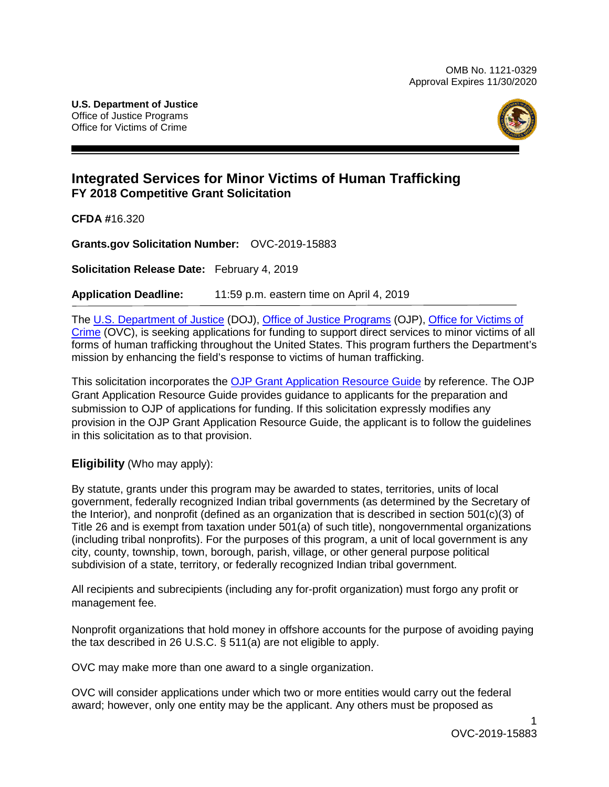

## **Integrated Services for Minor Victims of Human Trafficking FY 2018 Competitive Grant Solicitation**

**CFDA #**16.320

**Grants.gov Solicitation Number:** OVC-2019-15883

**Solicitation Release Date:** February 4, 2019

**Application Deadline:** 11:59 p.m. eastern time on April 4, 2019

The [U.S. Department of Justice](https://www.usdoj.gov/) (DOJ), Office [of Justice Programs](https://www.ojp.gov/) (OJP), [Office for Victims of](http://www.ovc.gov/)  [Crime](http://www.ovc.gov/) (OVC), is seeking applications for funding to support direct services to minor victims of all forms of human trafficking throughout the United States. This program furthers the Department's mission by enhancing the field's response to victims of human trafficking.

This solicitation incorporates the [OJP Grant Application Resource Guide](https://www.ojp.gov/funding/Apply/Resources/Grant-App-Resource-Guide.htm) by reference. The OJP Grant Application Resource Guide provides guidance to applicants for the preparation and submission to OJP of applications for funding. If this solicitation expressly modifies any provision in the OJP Grant Application Resource Guide, the applicant is to follow the guidelines in this solicitation as to that provision.

**Eligibility** (Who may apply):

By statute, grants under this program may be awarded to states, territories, units of local government, federally recognized Indian tribal governments (as determined by the Secretary of the Interior), and nonprofit (defined as an organization that is described in section 501(c)(3) of Title 26 and is exempt from taxation under 501(a) of such title), nongovernmental organizations (including tribal nonprofits). For the purposes of this program, a unit of local government is any city, county, township, town, borough, parish, village, or other general purpose political subdivision of a state, territory, or federally recognized Indian tribal government.

All recipients and subrecipients (including any for-profit organization) must forgo any profit or management fee.

Nonprofit organizations that hold money in offshore accounts for the purpose of avoiding paying the tax described in 26 U.S.C. § 511(a) are not eligible to apply.

OVC may make more than one award to a single organization.

OVC will consider applications under which two or more entities would carry out the federal award; however, only one entity may be the applicant. Any others must be proposed as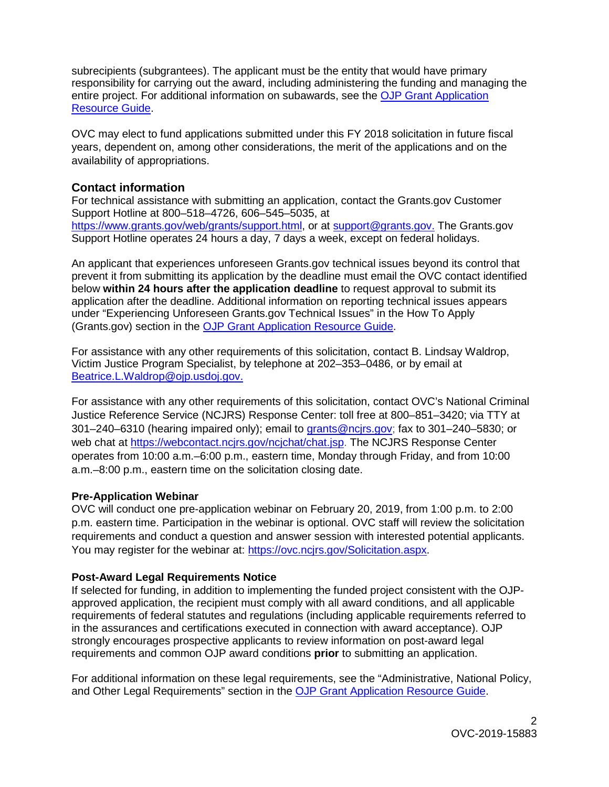subrecipients (subgrantees). The applicant must be the entity that would have primary responsibility for carrying out the award, including administering the funding and managing the entire project. For additional information on subawards, see the [OJP Grant Application](https://www.ojp.gov/funding/Apply/Resources/Grant-App-Resource-Guide.htm)  [Resource Guide.](https://www.ojp.gov/funding/Apply/Resources/Grant-App-Resource-Guide.htm)

OVC may elect to fund applications submitted under this FY 2018 solicitation in future fiscal years, dependent on, among other considerations, the merit of the applications and on the availability of appropriations.

## **Contact information**

For technical assistance with submitting an application, contact the Grants.gov Customer Support Hotline at 800–518–4726, 606–545–5035, at [https://www.grants.gov/web/grants/support.html,](https://www.grants.gov/web/grants/support.html) or at [support@grants.gov.](mailto:support@grants.gov) The Grants.gov Support Hotline operates 24 hours a day, 7 days a week, except on federal holidays.

An applicant that experiences unforeseen Grants.gov technical issues beyond its control that prevent it from submitting its application by the deadline must email the OVC contact identified below **within 24 hours after the application deadline** to request approval to submit its application after the deadline. Additional information on reporting technical issues appears under "Experiencing Unforeseen Grants.gov Technical Issues" in the How To Apply (Grants.gov) section in the [OJP Grant Application Resource Guide.](https://www.ojp.gov/funding/Apply/Resources/Grant-App-Resource-Guide.htm)

For assistance with any other requirements of this solicitation, contact B. Lindsay Waldrop, Victim Justice Program Specialist, by telephone at 202–353–0486, or by email at [Beatrice.L.Waldrop@ojp.usdoj.gov.](mailto:Beatrice.L.Waldrop@ojp.usdoj.gov)

For assistance with any other requirements of this solicitation, contact OVC's National Criminal Justice Reference Service (NCJRS) Response Center: toll free at 800–851–3420; via TTY at 301–240–6310 (hearing impaired only); email to [grants@ncjrs.gov;](mailto:grants@ncjrs.gov) fax to 301–240–5830; or web chat at [https://webcontact.ncjrs.gov/ncjchat/chat.jsp.](https://webcontact.ncjrs.gov/ncjchat/chat.jsp) The NCJRS Response Center operates from 10:00 a.m.–6:00 p.m., eastern time, Monday through Friday, and from 10:00 a.m.–8:00 p.m., eastern time on the solicitation closing date.

## **Pre-Application Webinar**

OVC will conduct one pre-application webinar on February 20, 2019, from 1:00 p.m. to 2:00 p.m. eastern time. Participation in the webinar is optional. OVC staff will review the solicitation requirements and conduct a question and answer session with interested potential applicants. You may register for the webinar at: [https://ovc.ncjrs.gov/Solicitation.aspx.](https://ovc.ncjrs.gov/Solicitation.aspx)

## **Post-Award Legal Requirements Notice**

If selected for funding, in addition to implementing the funded project consistent with the OJPapproved application, the recipient must comply with all award conditions, and all applicable requirements of federal statutes and regulations (including applicable requirements referred to in the assurances and certifications executed in connection with award acceptance). OJP strongly encourages prospective applicants to review information on post-award legal requirements and common OJP award conditions **prior** to submitting an application.

For additional information on these legal requirements, see the "Administrative, National Policy, and Other Legal Requirements" section in the [OJP Grant Application Resource Guide.](https://www.ojp.gov/funding/Apply/Resources/Grant-App-Resource-Guide.htm)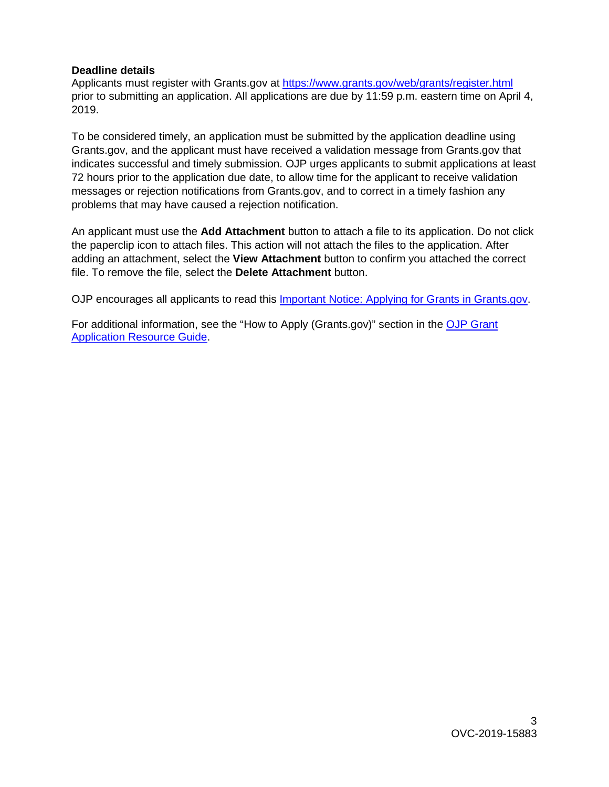#### **Deadline details**

Applicants must register with Grants.gov at<https://www.grants.gov/web/grants/register.html> prior to submitting an application. All applications are due by 11:59 p.m. eastern time on April 4, 2019.

To be considered timely, an application must be submitted by the application deadline using Grants.gov, and the applicant must have received a validation message from Grants.gov that indicates successful and timely submission. OJP urges applicants to submit applications at least 72 hours prior to the application due date, to allow time for the applicant to receive validation messages or rejection notifications from Grants.gov, and to correct in a timely fashion any problems that may have caused a rejection notification.

An applicant must use the **Add Attachment** button to attach a file to its application. Do not click the paperclip icon to attach files. This action will not attach the files to the application. After adding an attachment, select the **View Attachment** button to confirm you attached the correct file. To remove the file, select the **Delete Attachment** button.

OJP encourages all applicants to read this **Important Notice: Applying for Grants in Grants.gov**.

For additional information, see the "How to Apply (Grants.gov)" section in the [OJP Grant](https://www.ojp.gov/funding/Apply/Resources/Grant-App-Resource-Guide.htm)  [Application Resource Guide.](https://www.ojp.gov/funding/Apply/Resources/Grant-App-Resource-Guide.htm)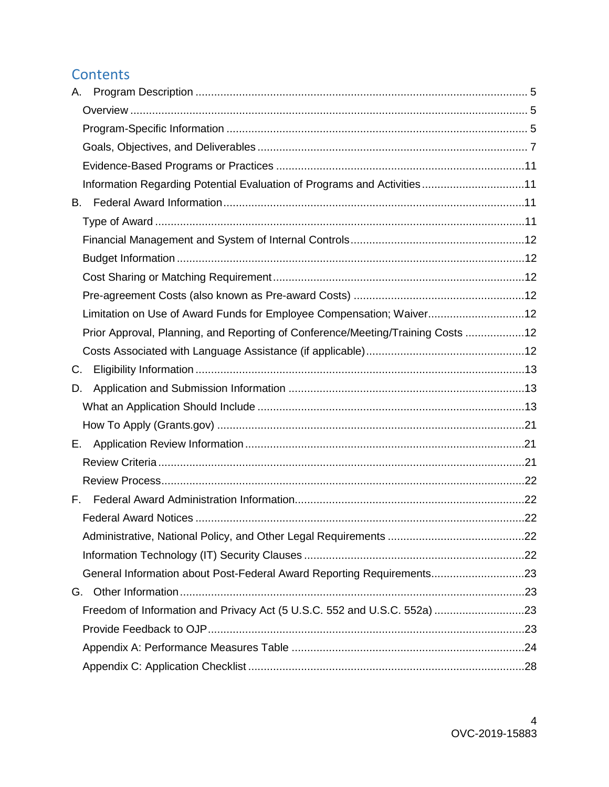## **Contents**

| А.                                                                              |  |
|---------------------------------------------------------------------------------|--|
|                                                                                 |  |
|                                                                                 |  |
|                                                                                 |  |
|                                                                                 |  |
| Information Regarding Potential Evaluation of Programs and Activities11         |  |
| В.                                                                              |  |
|                                                                                 |  |
|                                                                                 |  |
|                                                                                 |  |
|                                                                                 |  |
|                                                                                 |  |
| Limitation on Use of Award Funds for Employee Compensation; Waiver12            |  |
| Prior Approval, Planning, and Reporting of Conference/Meeting/Training Costs 12 |  |
|                                                                                 |  |
| C.                                                                              |  |
| D.                                                                              |  |
|                                                                                 |  |
|                                                                                 |  |
| Е.                                                                              |  |
|                                                                                 |  |
|                                                                                 |  |
| F.                                                                              |  |
|                                                                                 |  |
|                                                                                 |  |
|                                                                                 |  |
| General Information about Post-Federal Award Reporting Requirements23           |  |
| G.                                                                              |  |
| Freedom of Information and Privacy Act (5 U.S.C. 552 and U.S.C. 552a) 23        |  |
|                                                                                 |  |
|                                                                                 |  |
|                                                                                 |  |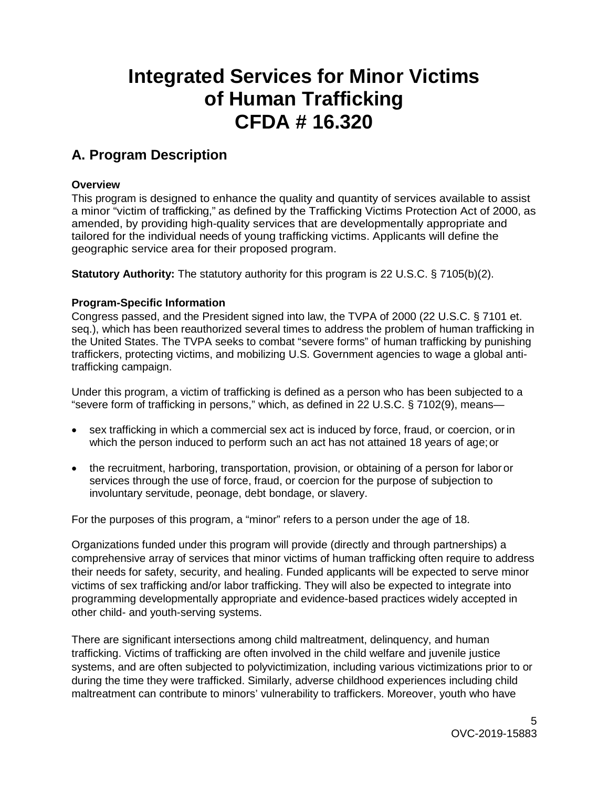# **Integrated Services for Minor Victims of Human Trafficking CFDA # 16.320**

## <span id="page-4-0"></span>**A. Program Description**

### <span id="page-4-1"></span>**Overview**

This program is designed to enhance the quality and quantity of services available to assist a minor "victim of trafficking," as defined by the Trafficking Victims Protection Act of 2000, as amended, by providing high-quality services that are developmentally appropriate and tailored for the individual needs of young trafficking victims. Applicants will define the geographic service area for their proposed program.

**Statutory Authority:** The statutory authority for this program is 22 U.S.C. § 7105(b)(2).

## <span id="page-4-2"></span>**Program***-***Specific Information**

<span id="page-4-3"></span>Congress passed, and the President signed into law, the TVPA of 2000 (22 U.S.C. § 7101 et. seq.), which has been reauthorized several times to address the problem of human trafficking in the United States. The TVPA seeks to combat "severe forms" of human trafficking by punishing traffickers, protecting victims, and mobilizing U.S. Government agencies to wage a global antitrafficking campaign.

Under this program, a victim of trafficking is defined as a person who has been subjected to a "severe form of trafficking in persons," which, as defined in 22 U.S.C. § 7102(9), means—

- sex trafficking in which a commercial sex act is induced by force, fraud, or coercion, orin which the person induced to perform such an act has not attained 18 years of age; or
- the recruitment, harboring, transportation, provision, or obtaining of a person for labor or services through the use of force, fraud, or coercion for the purpose of subjection to involuntary servitude, peonage, debt bondage, or slavery.

For the purposes of this program, a "minor" refers to a person under the age of 18.

Organizations funded under this program will provide (directly and through partnerships) a comprehensive array of services that minor victims of human trafficking often require to address their needs for safety, security, and healing. Funded applicants will be expected to serve minor victims of sex trafficking and/or labor trafficking. They will also be expected to integrate into programming developmentally appropriate and evidence-based practices widely accepted in other child- and youth-serving systems.

There are significant intersections among child maltreatment, delinquency, and human trafficking. Victims of trafficking are often involved in the child welfare and juvenile justice systems, and are often subjected to polyvictimization, including various victimizations prior to or during the time they were trafficked. Similarly, adverse childhood experiences including child maltreatment can contribute to minors' vulnerability to traffickers. Moreover, youth who have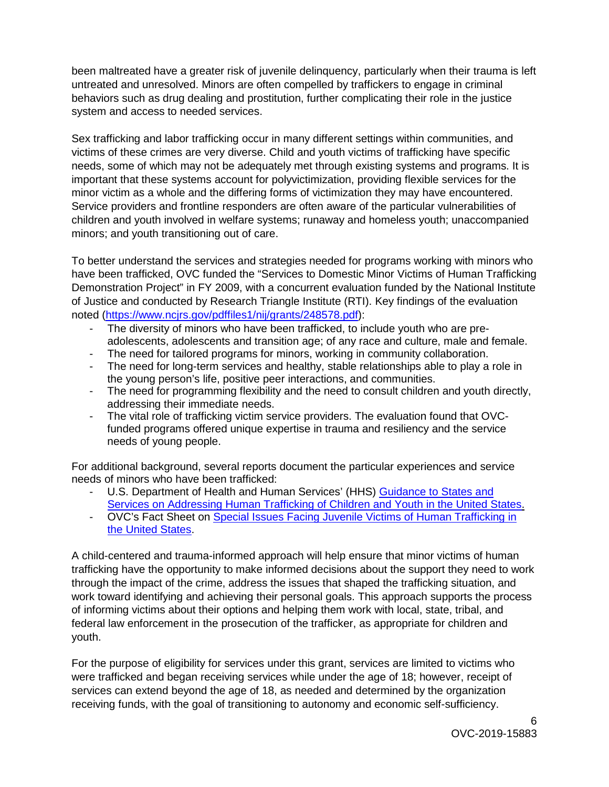been maltreated have a greater risk of juvenile delinquency, particularly when their trauma is left untreated and unresolved. Minors are often compelled by traffickers to engage in criminal behaviors such as drug dealing and prostitution, further complicating their role in the justice system and access to needed services.

Sex trafficking and labor trafficking occur in many different settings within communities, and victims of these crimes are very diverse. Child and youth victims of trafficking have specific needs, some of which may not be adequately met through existing systems and programs. It is important that these systems account for polyvictimization, providing flexible services for the minor victim as a whole and the differing forms of victimization they may have encountered. Service providers and frontline responders are often aware of the particular vulnerabilities of children and youth involved in welfare systems; runaway and homeless youth; unaccompanied minors; and youth transitioning out of care.

To better understand the services and strategies needed for programs working with minors who have been trafficked, OVC funded the "Services to Domestic Minor Victims of Human Trafficking Demonstration Project" in FY 2009, with a concurrent evaluation funded by the National Institute of Justice and conducted by Research Triangle Institute (RTI). Key findings of the evaluation noted [\(https://www.ncjrs.gov/pdffiles1/nij/grants/248578.pdf\)](https://www.ncjrs.gov/pdffiles1/nij/grants/248578.pdf):

- The diversity of minors who have been trafficked, to include youth who are preadolescents, adolescents and transition age; of any race and culture, male and female.
- The need for tailored programs for minors, working in community collaboration.
- The need for long-term services and healthy, stable relationships able to play a role in the young person's life, positive peer interactions, and communities.
- The need for programming flexibility and the need to consult children and youth directly, addressing their immediate needs.
- The vital role of trafficking victim service providers. The evaluation found that OVCfunded programs offered unique expertise in trauma and resiliency and the service needs of young people.

For additional background, several reports document the particular experiences and service needs of minors who have been trafficked:

- U.S. Department of Health and Human Services' (HHS) Guidance to States and [Services on](https://www.acf.hhs.gov/sites/default/files/cb/acyf_human_trafficking_guidance.pdf) [Addressing Human Trafficking of Children and Youth in the United States.](https://www.acf.hhs.gov/sites/default/files/cb/acyf_human_trafficking_guidance.pdf)
- OVC's Fact Sheet on [Special Issues Facing Juvenile Victims of Human Trafficking in](https://ovc.ncjrs.gov/humantrafficking/Public_Awareness_Folder/Fact_Sheet/HT_Special_Issues_Facing_Juv_fact_sheet-508.pdf)  [the United States.](https://ovc.ncjrs.gov/humantrafficking/Public_Awareness_Folder/Fact_Sheet/HT_Special_Issues_Facing_Juv_fact_sheet-508.pdf)

A child-centered and trauma-informed approach will help ensure that minor victims of human trafficking have the opportunity to make informed decisions about the support they need to work through the impact of the crime, address the issues that shaped the trafficking situation, and work toward identifying and achieving their personal goals. This approach supports the process of informing victims about their options and helping them work with local, state, tribal, and federal law enforcement in the prosecution of the trafficker, as appropriate for children and youth.

For the purpose of eligibility for services under this grant, services are limited to victims who were trafficked and began receiving services while under the age of 18; however, receipt of services can extend beyond the age of 18, as needed and determined by the organization receiving funds, with the goal of transitioning to autonomy and economic self-sufficiency.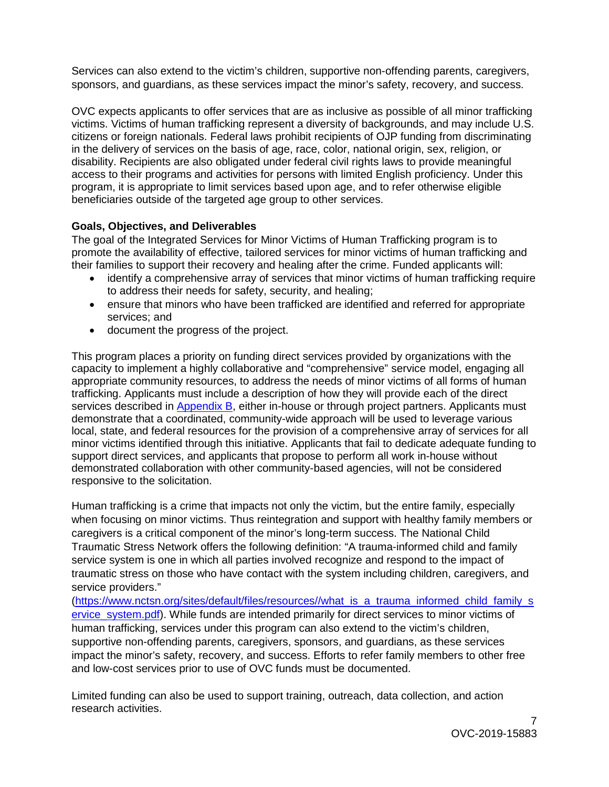Services can also extend to the victim's children, supportive non-offending parents, caregivers, sponsors, and guardians, as these services impact the minor's safety, recovery, and success.

OVC expects applicants to offer services that are as inclusive as possible of all minor trafficking victims. Victims of human trafficking represent a diversity of backgrounds, and may include U.S. citizens or foreign nationals. Federal laws prohibit recipients of OJP funding from discriminating in the delivery of services on the basis of age, race, color, national origin, sex, religion, or disability. Recipients are also obligated under federal civil rights laws to provide meaningful access to their programs and activities for persons with limited English proficiency. Under this program, it is appropriate to limit services based upon age, and to refer otherwise eligible beneficiaries outside of the targeted age group to other services.

### <span id="page-6-0"></span>**Goals, Objectives, and Deliverables**

The goal of the Integrated Services for Minor Victims of Human Trafficking program is to promote the availability of effective, tailored services for minor victims of human trafficking and their families to support their recovery and healing after the crime. Funded applicants will:

- identify a comprehensive array of services that minor victims of human trafficking require to address their needs for safety, security, and healing;
- ensure that minors who have been trafficked are identified and referred for appropriate services; and
- document the progress of the project.

This program places a priority on funding direct services provided by organizations with the capacity to implement a highly collaborative and "comprehensive" service model, engaging all appropriate community resources, to address the needs of minor victims of all forms of human trafficking. Applicants must include a description of how they will provide each of the direct services described in [Appendix B,](#page-24-0) either in-house or through project partners. Applicants must demonstrate that a coordinated, community-wide approach will be used to leverage various local, state, and federal resources for the provision of a comprehensive array of services for all minor victims identified through this initiative. Applicants that fail to dedicate adequate funding to support direct services, and applicants that propose to perform all work in-house without demonstrated collaboration with other community-based agencies, will not be considered responsive to the solicitation.

Human trafficking is a crime that impacts not only the victim, but the entire family, especially when focusing on minor victims. Thus reintegration and support with healthy family members or caregivers is a critical component of the minor's long-term success. The National Child Traumatic Stress Network offers the following definition: "A trauma-informed child and family service system is one in which all parties involved recognize and respond to the impact of traumatic stress on those who have contact with the system including children, caregivers, and service providers."

[\(https://www.nctsn.org/sites/default/files/resources//what\\_is\\_a\\_trauma\\_informed\\_child\\_family\\_s](https://www.nctsn.org/sites/default/files/resources/what_is_a_trauma_informed_child_family_service_system.pdf) [ervice\\_system.pdf\)](https://www.nctsn.org/sites/default/files/resources/what_is_a_trauma_informed_child_family_service_system.pdf). While funds are intended primarily for direct services to minor victims of human trafficking, services under this program can also extend to the victim's children, supportive non-offending parents, caregivers, sponsors, and guardians, as these services impact the minor's safety, recovery, and success. Efforts to refer family members to other free and low-cost services prior to use of OVC funds must be documented.

Limited funding can also be used to support training, outreach, data collection, and action research activities.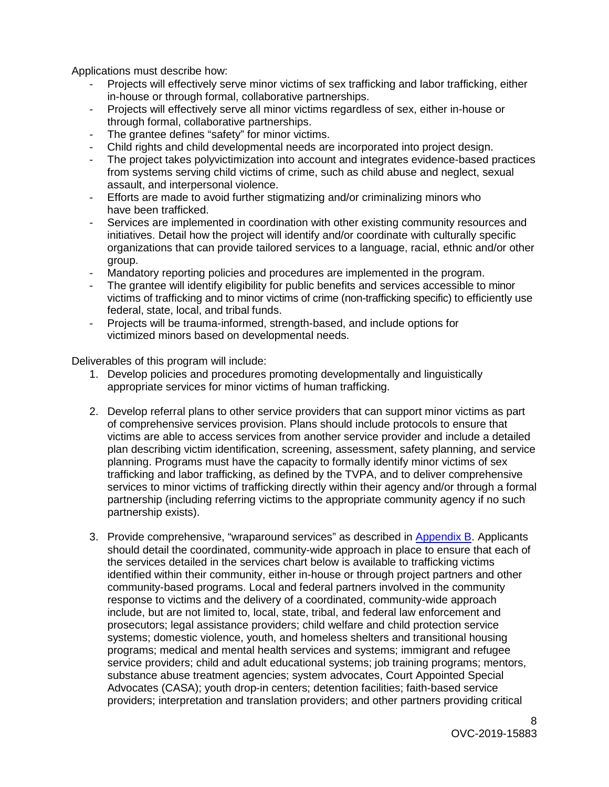Applications must describe how:

- Projects will effectively serve minor victims of sex trafficking and labor trafficking, either in-house or through formal, collaborative partnerships.
- Projects will effectively serve all minor victims regardless of sex, either in-house or through formal, collaborative partnerships.
- The grantee defines "safety" for minor victims.
- Child rights and child developmental needs are incorporated into project design.
- The project takes polyvictimization into account and integrates evidence-based practices from systems serving child victims of crime, such as child abuse and neglect, sexual assault, and interpersonal violence.
- Efforts are made to avoid further stigmatizing and/or criminalizing minors who have been trafficked.
- Services are implemented in coordination with other existing community resources and initiatives. Detail how the project will identify and/or coordinate with culturally specific organizations that can provide tailored services to a language, racial, ethnic and/or other group.
- Mandatory reporting policies and procedures are implemented in the program.
- The grantee will identify eligibility for public benefits and services accessible to minor victims of trafficking and to minor victims of crime (non-trafficking specific) to efficiently use federal, state, local, and tribal funds.
- Projects will be trauma-informed, strength-based, and include options for victimized minors based on developmental needs.

Deliverables of this program will include:

- 1. Develop policies and procedures promoting developmentally and linguistically appropriate services for minor victims of human trafficking.
- 2. Develop referral plans to other service providers that can support minor victims as part of comprehensive services provision. Plans should include protocols to ensure that victims are able to access services from another service provider and include a detailed plan describing victim identification, screening, assessment, safety planning, and service planning. Programs must have the capacity to formally identify minor victims of sex trafficking and labor trafficking, as defined by the TVPA, and to deliver comprehensive services to minor victims of trafficking directly within their agency and/or through a formal partnership (including referring victims to the appropriate community agency if no such partnership exists).
- 3. Provide comprehensive, "wraparound services" as described in [Appendix B.](#page-24-0) Applicants should detail the coordinated, community-wide approach in place to ensure that each of the services detailed in the services chart below is available to trafficking victims identified within their community, either in-house or through project partners and other community-based programs. Local and federal partners involved in the community response to victims and the delivery of a coordinated, community-wide approach include, but are not limited to, local, state, tribal, and federal law enforcement and prosecutors; legal assistance providers; child welfare and child protection service systems; domestic violence, youth, and homeless shelters and transitional housing programs; medical and mental health services and systems; immigrant and refugee service providers; child and adult educational systems; job training programs; mentors, substance abuse treatment agencies; system advocates, Court Appointed Special Advocates (CASA); youth drop-in centers; detention facilities; faith-based service providers; interpretation and translation providers; and other partners providing critical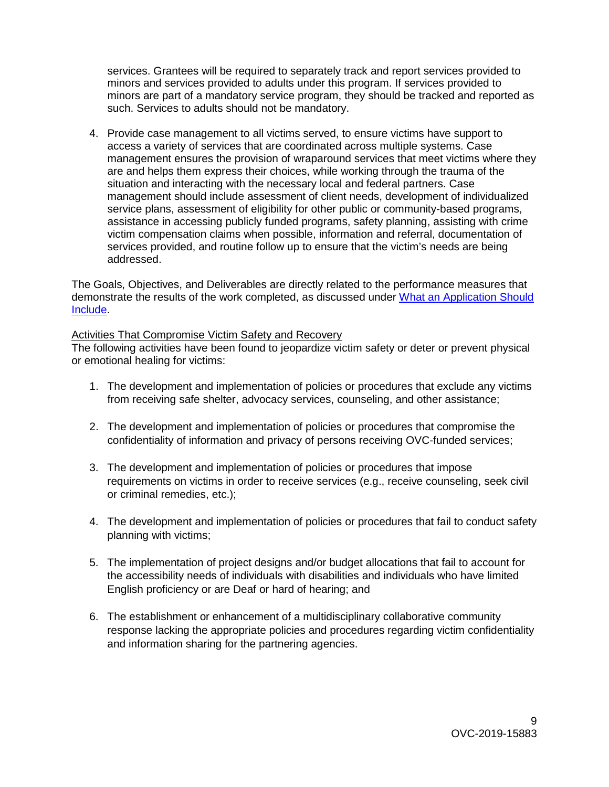services. Grantees will be required to separately track and report services provided to minors and services provided to adults under this program. If services provided to minors are part of a mandatory service program, they should be tracked and reported as such. Services to adults should not be mandatory.

4. Provide case management to all victims served, to ensure victims have support to access a variety of services that are coordinated across multiple systems. Case management ensures the provision of wraparound services that meet victims where they are and helps them express their choices, while working through the trauma of the situation and interacting with the necessary local and federal partners. Case management should include assessment of client needs, development of individualized service plans, assessment of eligibility for other public or community-based programs, assistance in accessing publicly funded programs, safety planning, assisting with crime victim compensation claims when possible, information and referral, documentation of services provided, and routine follow up to ensure that the victim's needs are being addressed.

The Goals, Objectives, and Deliverables are directly related to the performance measures that demonstrate the results of the work completed, as discussed under [What an Application Should](#page-12-2)  [Include.](#page-12-2)

#### Activities That Compromise Victim Safety and Recovery

The following activities have been found to jeopardize victim safety or deter or prevent physical or emotional healing for victims:

- 1. The development and implementation of policies or procedures that exclude any victims from receiving safe shelter, advocacy services, counseling, and other assistance;
- 2. The development and implementation of policies or procedures that compromise the confidentiality of information and privacy of persons receiving OVC-funded services;
- 3. The development and implementation of policies or procedures that impose requirements on victims in order to receive services (e.g., receive counseling, seek civil or criminal remedies, etc.);
- 4. The development and implementation of policies or procedures that fail to conduct safety planning with victims;
- 5. The implementation of project designs and/or budget allocations that fail to account for the accessibility needs of individuals with disabilities and individuals who have limited English proficiency or are Deaf or hard of hearing; and
- 6. The establishment or enhancement of a multidisciplinary collaborative community response lacking the appropriate policies and procedures regarding victim confidentiality and information sharing for the partnering agencies.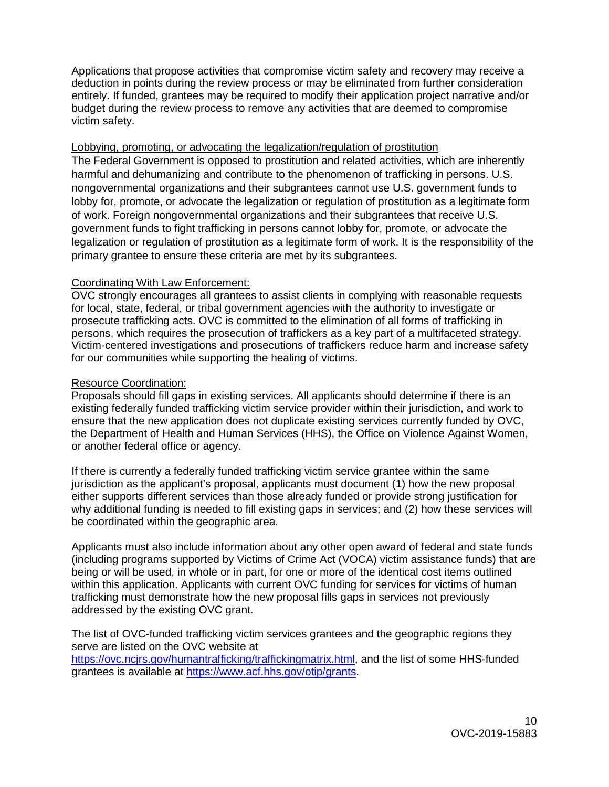Applications that propose activities that compromise victim safety and recovery may receive a deduction in points during the review process or may be eliminated from further consideration entirely. If funded, grantees may be required to modify their application project narrative and/or budget during the review process to remove any activities that are deemed to compromise victim safety.

#### Lobbying, promoting, or advocating the legalization/regulation of prostitution

The Federal Government is opposed to prostitution and related activities, which are inherently harmful and dehumanizing and contribute to the phenomenon of trafficking in persons. U.S. nongovernmental organizations and their subgrantees cannot use U.S. government funds to lobby for, promote, or advocate the legalization or regulation of prostitution as a legitimate form of work. Foreign nongovernmental organizations and their subgrantees that receive U.S. government funds to fight trafficking in persons cannot lobby for, promote, or advocate the legalization or regulation of prostitution as a legitimate form of work. It is the responsibility of the primary grantee to ensure these criteria are met by its subgrantees.

#### Coordinating With Law Enforcement:

OVC strongly encourages all grantees to assist clients in complying with reasonable requests for local, state, federal, or tribal government agencies with the authority to investigate or prosecute trafficking acts. OVC is committed to the elimination of all forms of trafficking in persons, which requires the prosecution of traffickers as a key part of a multifaceted strategy. Victim-centered investigations and prosecutions of traffickers reduce harm and increase safety for our communities while supporting the healing of victims.

#### Resource Coordination:

Proposals should fill gaps in existing services. All applicants should determine if there is an existing federally funded trafficking victim service provider within their jurisdiction, and work to ensure that the new application does not duplicate existing services currently funded by OVC, the Department of Health and Human Services (HHS), the Office on Violence Against Women, or another federal office or agency.

If there is currently a federally funded trafficking victim service grantee within the same jurisdiction as the applicant's proposal, applicants must document (1) how the new proposal either supports different services than those already funded or provide strong justification for why additional funding is needed to fill existing gaps in services; and (2) how these services will be coordinated within the geographic area.

Applicants must also include information about any other open award of federal and state funds (including programs supported by Victims of Crime Act (VOCA) victim assistance funds) that are being or will be used, in whole or in part, for one or more of the identical cost items outlined within this application. Applicants with current OVC funding for services for victims of human trafficking must demonstrate how the new proposal fills gaps in services not previously addressed by the existing OVC grant.

The list of OVC-funded trafficking victim services grantees and the geographic regions they serve are listed on the OVC website at [https://ovc.ncjrs.gov/humantrafficking/traffickingmatrix.html,](https://ovc.ncjrs.gov/humantrafficking/traffickingmatrix.html) and the list of some HHS-funded grantees is available at [https://www.acf.hhs.gov/otip/grants.](https://www.acf.hhs.gov/otip/grants)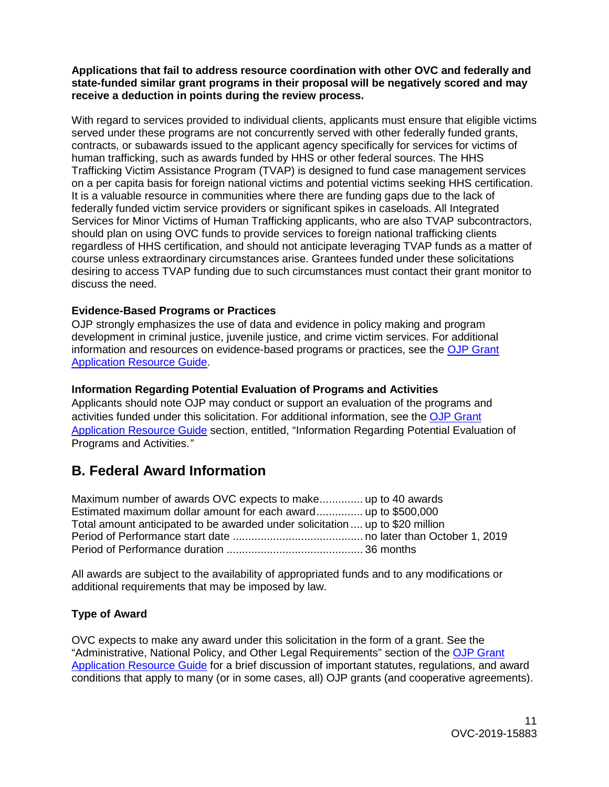#### **Applications that fail to address resource coordination with other OVC and federally and state-funded similar grant programs in their proposal will be negatively scored and may receive a deduction in points during the review process.**

With regard to services provided to individual clients, applicants must ensure that eligible victims served under these programs are not concurrently served with other federally funded grants, contracts, or subawards issued to the applicant agency specifically for services for victims of human trafficking, such as awards funded by HHS or other federal sources. The HHS Trafficking Victim Assistance Program (TVAP) is designed to fund case management services on a per capita basis for foreign national victims and potential victims seeking HHS certification. It is a valuable resource in communities where there are funding gaps due to the lack of federally funded victim service providers or significant spikes in caseloads. All Integrated Services for Minor Victims of Human Trafficking applicants, who are also TVAP subcontractors, should plan on using OVC funds to provide services to foreign national trafficking clients regardless of [HHS certification,](https://www.acf.hhs.gov/otip/victim-assistance/certification-and-eligibility-letters-for-foreign-national-victims) and should not anticipate leveraging TVAP funds as a matter of course unless extraordinary circumstances arise. Grantees funded under these solicitations desiring to access TVAP funding due to such circumstances must contact their grant monitor to discuss the need.

## <span id="page-10-0"></span>**Evidence-Based Programs or Practices**

OJP strongly emphasizes the use of data and evidence in policy making and program development in criminal justice, juvenile justice, and crime victim services. For additional information and resources on evidence-based programs or practices, see the [OJP Grant](https://www.ojp.gov/funding/Apply/Resources/Grant-App-Resource-Guide.htm)  [Application Resource Guide.](https://www.ojp.gov/funding/Apply/Resources/Grant-App-Resource-Guide.htm)

## <span id="page-10-1"></span>**Information Regarding Potential Evaluation of Programs and Activities**

Applicants should note OJP may conduct or support an evaluation of the programs and activities funded under this solicitation. For additional information, see the [OJP Grant](https://www.ojp.gov/funding/Apply/Resources/Grant-App-Resource-Guide.htm)  [Application Resource Guide](https://www.ojp.gov/funding/Apply/Resources/Grant-App-Resource-Guide.htm) section, entitled, "Information Regarding Potential Evaluation of Programs and Activities.*"*

## <span id="page-10-2"></span>**B. Federal Award Information**

Maximum number of awards OVC expects to make.............. up to 40 awards Estimated maximum dollar amount for each award............... up to \$500,000 Total amount anticipated to be awarded under solicitation .... up to \$20 million Period of Performance start date .......................................... no later than October 1, 2019 Period of Performance duration ............................................ 36 months

All awards are subject to the availability of appropriated funds and to any modifications or additional requirements that may be imposed by law.

## <span id="page-10-3"></span>**Type of Award**

OVC expects to make any award under this solicitation in the form of a grant. See the "Administrative, National Policy, and Other Legal Requirements" section of the [OJP Grant](https://ojp.gov/funding/Apply/Resources/Grant-App-Resource-Guide.htm)  [Application Resource Guide](https://ojp.gov/funding/Apply/Resources/Grant-App-Resource-Guide.htm) for a brief discussion of important statutes, regulations, and award conditions that apply to many (or in some cases, all) OJP grants (and cooperative agreements).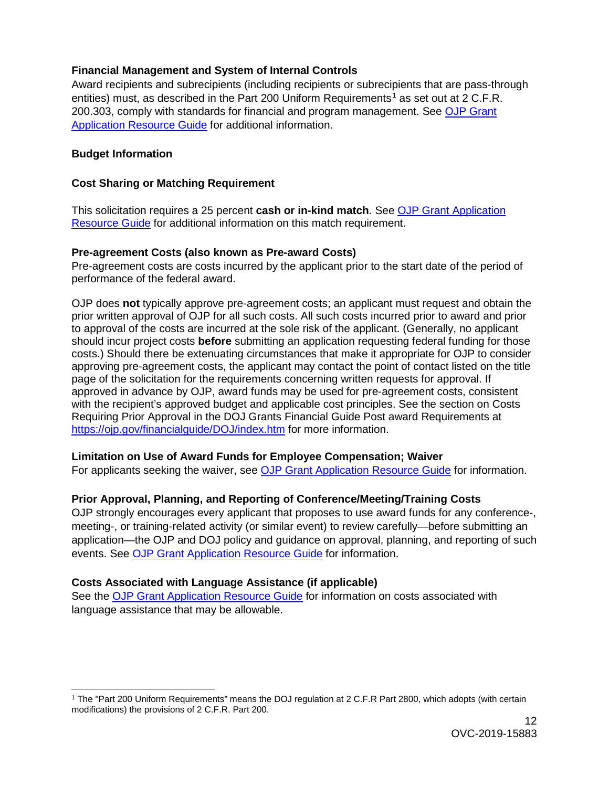### <span id="page-11-0"></span>**Financial Management and System of Internal Controls**

Award recipients and subrecipients (including recipients or subrecipients that are pass-through entities) must, as described in the Part 200 Uniform Requirements<sup>[1](#page-11-7)</sup> as set out at 2 C.F.R. 200.303, comply with standards for financial and program management. See [OJP Grant](https://www.ojp.gov/funding/Apply/Resources/Grant-App-Resource-Guide.htm)  [Application Resource Guide](https://www.ojp.gov/funding/Apply/Resources/Grant-App-Resource-Guide.htm) for additional information.

#### <span id="page-11-1"></span>**Budget Information**

### <span id="page-11-2"></span>**Cost Sharing or Matching Requirement**

This solicitation requires a 25 percent **cash or in-kind match**. See [OJP Grant Application](https://www.ojp.gov/funding/Apply/Resources/Grant-App-Resource-Guide.htm)  [Resource Guide](https://www.ojp.gov/funding/Apply/Resources/Grant-App-Resource-Guide.htm) for additional information on this match requirement.

#### <span id="page-11-3"></span>**Pre-agreement Costs (also known as Pre-award Costs)**

Pre-agreement costs are costs incurred by the applicant prior to the start date of the period of performance of the federal award.

OJP does **not** typically approve pre-agreement costs; an applicant must request and obtain the prior written approval of OJP for all such costs. All such costs incurred prior to award and prior to approval of the costs are incurred at the sole risk of the applicant. (Generally, no applicant should incur project costs **before** submitting an application requesting federal funding for those costs.) Should there be extenuating circumstances that make it appropriate for OJP to consider approving pre-agreement costs, the applicant may contact the point of contact listed on the title page of the solicitation for the requirements concerning written requests for approval. If approved in advance by OJP, award funds may be used for pre-agreement costs, consistent with the recipient's approved budget and applicable cost principles. See the section on Costs Requiring Prior Approval in the DOJ Grants Financial Guide Post award Requirements at <https://ojp.gov/financialguide/DOJ/index.htm> for more information.

#### <span id="page-11-4"></span>**Limitation on Use of Award Funds for Employee Compensation; Waiver**

For applicants seeking the waiver, see [OJP Grant Application Resource Guide](https://www.ojp.gov/funding/Apply/Resources/Grant-App-Resource-Guide.htm) for information.

## <span id="page-11-5"></span>**Prior Approval, Planning, and Reporting of Conference/Meeting/Training Costs**

OJP strongly encourages every applicant that proposes to use award funds for any conference-, meeting-, or training-related activity (or similar event) to review carefully—before submitting an application—the OJP and DOJ policy and guidance on approval, planning, and reporting of such events. See [OJP Grant Application Resource Guide](https://www.ojp.gov/funding/Apply/Resources/Grant-App-Resource-Guide.htm) for information.

## <span id="page-11-6"></span>**Costs Associated with Language Assistance (if applicable)**

See the [OJP Grant Application Resource Guide](https://www.ojp.gov/funding/Apply/Resources/Grant-App-Resource-Guide.htm) for information on costs associated with language assistance that may be allowable.

<span id="page-11-7"></span> <sup>1</sup> The "Part 200 Uniform Requirements" means the DOJ regulation at 2 C.F.R Part 2800, which adopts (with certain modifications) the provisions of 2 C.F.R. Part 200.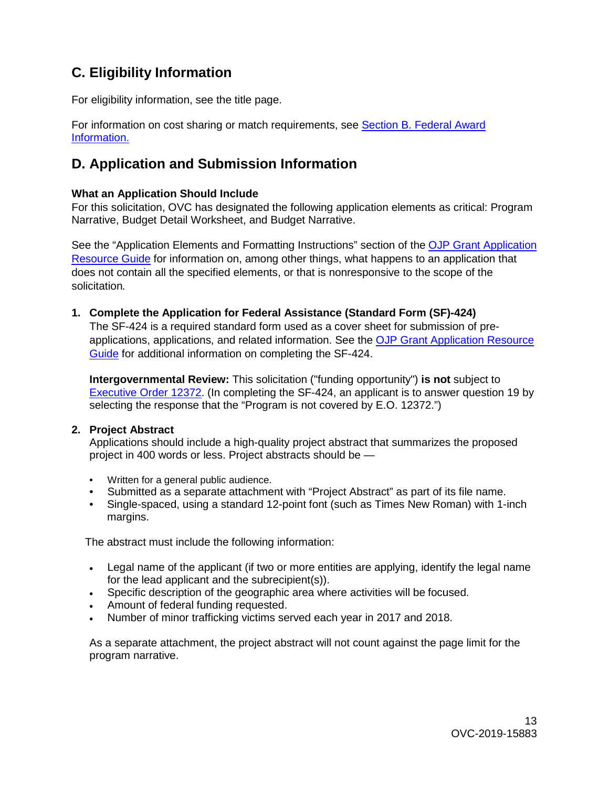## <span id="page-12-0"></span>**C. Eligibility Information**

For eligibility information, see the title page.

For information on cost sharing or match requirements, see [Section B. Federal Award](#page-11-2)  [Information.](#page-11-2) 

## <span id="page-12-1"></span>**D. Application and Submission Information**

### <span id="page-12-2"></span>**What an Application Should Include**

For this solicitation, OVC has designated the following application elements as critical: Program Narrative, Budget Detail Worksheet, and Budget Narrative.

See the "Application Elements and Formatting Instructions" section of the OJP Grant Application [Resource Guide](https://ojp.gov/funding/Apply/Resources/Grant-App-Resource-Guide.htm) for information on, among other things, what happens to an application that does not contain all the specified elements, or that is nonresponsive to the scope of the solicitation*.* 

**1. Complete the Application for Federal Assistance (Standard Form (SF)-424)**

The SF-424 is a required standard form used as a cover sheet for submission of preapplications, applications, and related information. See the [OJP Grant Application Resource](https://www.ojp.gov/funding/Apply/Resources/Grant-App-Resource-Guide.htm)  [Guide](https://www.ojp.gov/funding/Apply/Resources/Grant-App-Resource-Guide.htm) for additional information on completing the SF-424.

**Intergovernmental Review:** This solicitation ("funding opportunity") **is not** subject to [Executive Order 12372.](https://www.archives.gov/federal-register/codification/executive-order/12372.html) (In completing the SF-424, an applicant is to answer question 19 by selecting the response that the "Program is not covered by E.O. 12372.")

#### **2. Project Abstract**

Applications should include a high-quality project abstract that summarizes the proposed project in 400 words or less. Project abstracts should be —

- Written for a general public audience.
- Submitted as a separate attachment with "Project Abstract" as part of its file name.
- Single-spaced, using a standard 12-point font (such as Times New Roman) with 1-inch margins.

The abstract must include the following information:

- Legal name of the applicant (if two or more entities are applying, identify the legal name for the lead applicant and the subrecipient(s)).
- Specific description of the geographic area where activities will be focused.
- Amount of federal funding requested.
- Number of minor trafficking victims served each year in 2017 and 2018.

As a separate attachment, the project abstract will not count against the page limit for the program narrative.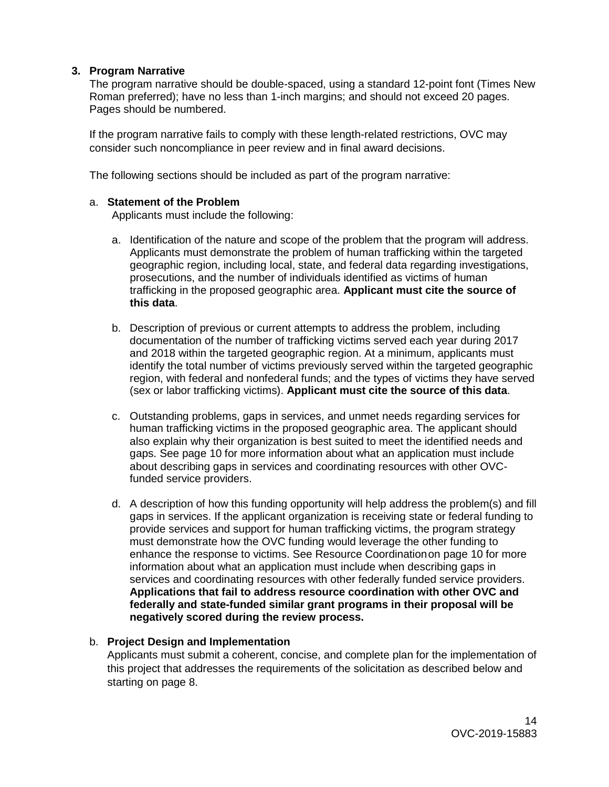#### **3. Program Narrative**

The program narrative should be double-spaced, using a standard 12-point font (Times New Roman preferred); have no less than 1-inch margins; and should not exceed 20 pages. Pages should be numbered.

If the program narrative fails to comply with these length-related restrictions, OVC may consider such noncompliance in peer review and in final award decisions.

The following sections should be included as part of the program narrative:

#### a. **Statement of the Problem**

Applicants must include the following:

- a. Identification of the nature and scope of the problem that the program will address. Applicants must demonstrate the problem of human trafficking within the targeted geographic region, including local, state, and federal data regarding investigations, prosecutions, and the number of individuals identified as victims of human trafficking in the proposed geographic area. **Applicant must cite the source of this data**.
- b. Description of previous or current attempts to address the problem, including documentation of the number of trafficking victims served each year during 2017 and 2018 within the targeted geographic region. At a minimum, applicants must identify the total number of victims previously served within the targeted geographic region, with federal and nonfederal funds; and the types of victims they have served (sex or labor trafficking victims). **Applicant must cite the source of this data**.
- c. Outstanding problems, gaps in services, and unmet needs regarding services for human trafficking victims in the proposed geographic area. The applicant should also explain why their organization is best suited to meet the identified needs and gaps. See page 10 for more information about what an application must include about describing gaps in services and coordinating resources with other OVCfunded service providers.
- d. A description of how this funding opportunity will help address the problem(s) and fill gaps in services. If the applicant organization is receiving state or federal funding to provide services and support for human trafficking victims, the program strategy must demonstrate how the OVC funding would leverage the other funding to enhance the response to victims. See Resource Coordinationon page 10 for more information about what an application must include when describing gaps in services and coordinating resources with other federally funded service providers. **Applications that fail to address resource coordination with other OVC and federally and state-funded similar grant programs in their proposal will be negatively scored during the review process.**

#### b. **Project Design and Implementation**

Applicants must submit a coherent, concise, and complete plan for the implementation of this project that addresses the requirements of the solicitation as described below and starting on page 8.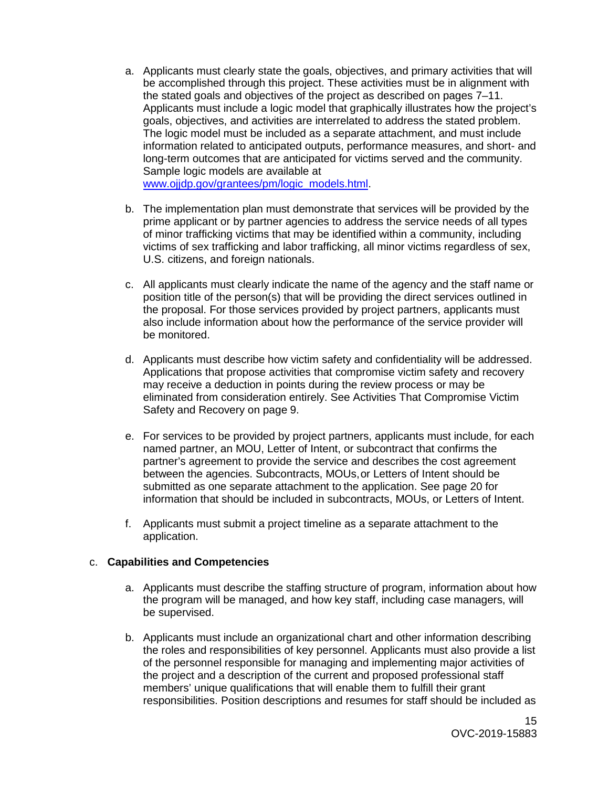- a. Applicants must clearly state the goals, objectives, and primary activities that will be accomplished through this project. These activities must be in alignment with the stated goals and objectives of the project as described on pages 7–11. Applicants must include a logic model that graphically illustrates how the project's goals, objectives, and activities are interrelated to address the stated problem. The logic model must be included as a separate attachment, and must include information related to anticipated outputs, performance measures, and short- and long-term outcomes that are anticip[ated for victims served and the community.](http://www.ojjdp.gov/grantees/pm/logic_models.html)  Sample logic models are available at www.ojjdp.gov/grantees/pm/logic\_models.html
- b. The implementation plan must demonstrate that services will be provided by the prime applicant or by partner agencies to address the service needs of all types of minor trafficking victims that may be identified within a community, including victims of sex trafficking and labor trafficking, all minor victims regardless of sex, U.S. citizens, and foreign nationals.
- c. All applicants must clearly indicate the name of the agency and the staff name or position title of the person(s) that will be providing the direct services outlined in the proposal. For those services provided by project partners, applicants must also include information about how the performance of the service provider will be monitored.
- d. Applicants must describe how victim safety and confidentiality will be addressed. Applications that propose activities that compromise victim safety and recovery may receive a deduction in points during the review process or may be eliminated from consideration entirely. See Activities That Compromise Victim Safety and Recovery on page 9.
- e. For services to be provided by project partners, applicants must include, for each named partner, an MOU, Letter of Intent, or subcontract that confirms the partner's agreement to provide the service and describes the cost agreement between the agencies. Subcontracts, MOUs,or Letters of Intent should be submitted as one separate attachment to the application. See page 20 for information that should be included in subcontracts, MOUs, or Letters of Intent.
- f. Applicants must submit a project timeline as a separate attachment to the application.

#### c. **Capabilities and Competencies**

- a. Applicants must describe the staffing structure of program, information about how the program will be managed, and how key staff, including case managers, will be supervised.
- b. Applicants must include an organizational chart and other information describing the roles and responsibilities of key personnel. Applicants must also provide a list of the personnel responsible for managing and implementing major activities of the project and a description of the current and proposed professional staff members' unique qualifications that will enable them to fulfill their grant responsibilities. Position descriptions and resumes for staff should be included as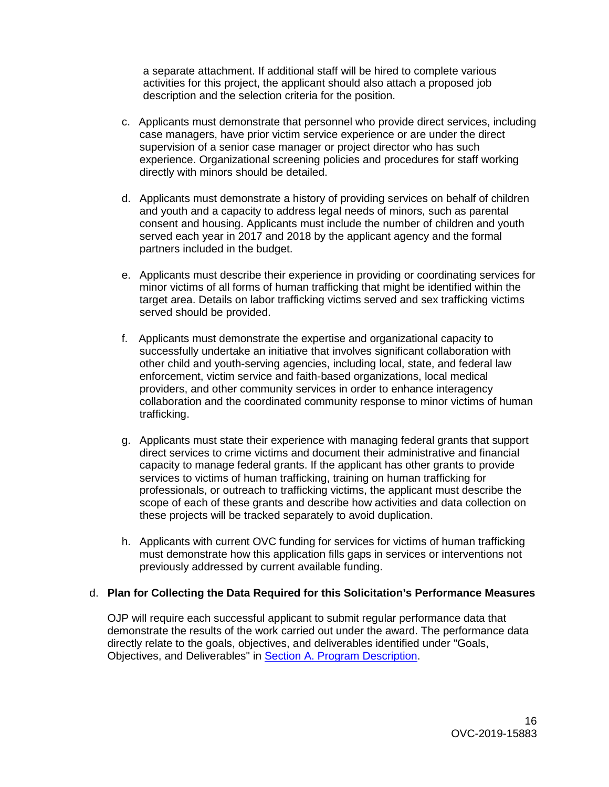a separate attachment. If additional staff will be hired to complete various activities for this project, the applicant should also attach a proposed job description and the selection criteria for the position.

- c. Applicants must demonstrate that personnel who provide direct services, including case managers, have prior victim service experience or are under the direct supervision of a senior case manager or project director who has such experience. Organizational screening policies and procedures for staff working directly with minors should be detailed.
- d. Applicants must demonstrate a history of providing services on behalf of children and youth and a capacity to address legal needs of minors, such as parental consent and housing. Applicants must include the number of children and youth served each year in 2017 and 2018 by the applicant agency and the formal partners included in the budget.
- e. Applicants must describe their experience in providing or coordinating services for minor victims of all forms of human trafficking that might be identified within the target area. Details on labor trafficking victims served and sex trafficking victims served should be provided.
- f. Applicants must demonstrate the expertise and organizational capacity to successfully undertake an initiative that involves significant collaboration with other child and youth-serving agencies, including local, state, and federal law enforcement, victim service and faith-based organizations, local medical providers, and other community services in order to enhance interagency collaboration and the coordinated community response to minor victims of human trafficking.
- g. Applicants must state their experience with managing federal grants that support direct services to crime victims and document their administrative and financial capacity to manage federal grants. If the applicant has other grants to provide services to victims of human trafficking, training on human trafficking for professionals, or outreach to trafficking victims, the applicant must describe the scope of each of these grants and describe how activities and data collection on these projects will be tracked separately to avoid duplication.
- h. Applicants with current OVC funding for services for victims of human trafficking must demonstrate how this application fills gaps in services or interventions not previously addressed by current available funding.

#### d. **Plan for Collecting the Data Required for this Solicitation's Performance Measures**

OJP will require each successful applicant to submit regular performance data that demonstrate the results of the work carried out under the award. The performance data directly relate to the goals, objectives, and deliverables identified under "Goals, Objectives, and Deliverables" in [Section A. Program Description.](#page-4-3)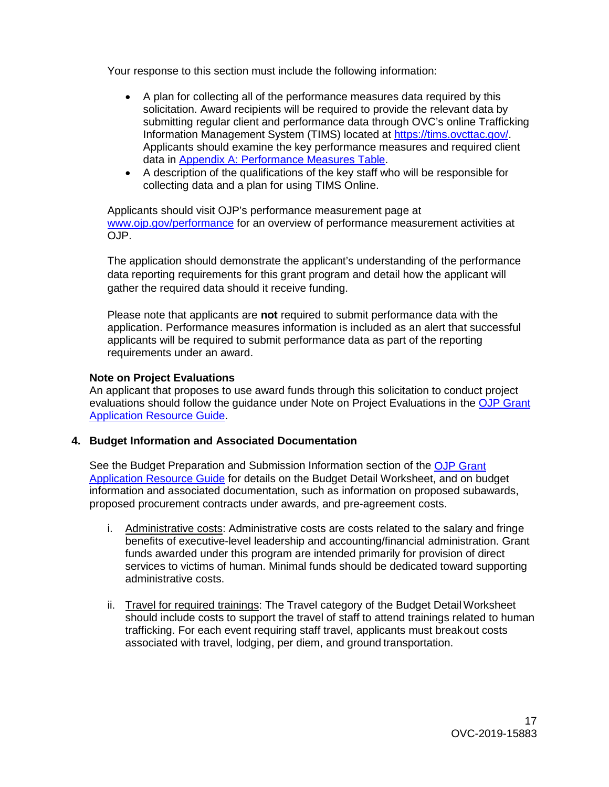Your response to this section must include the following information:

- A plan for collecting all of the performance measures data required by this solicitation. Award recipients will be required to provide the relevant data by submitting regular client and performance data through OVC's online Trafficking Information Management System (TIMS) located at [https://tims.ovcttac.gov/.](https://tims.ovcttac.gov/) Applicants should examine the key performance measures and required client data in [Appendix A: Performance Measures Table.](#page-23-0)
- A description of the qualifications of the key staff who will be responsible for collecting data and a plan for using TIMS Online.

Applicants should visit OJP's performance measurement page at [www.ojp.gov/performance](https://www.ojp.gov/performance) for an overview of performance measurement activities at OJP.

The application should demonstrate the applicant's understanding of the performance data reporting requirements for this grant program and detail how the applicant will gather the required data should it receive funding.

Please note that applicants are **not** required to submit performance data with the application. Performance measures information is included as an alert that successful applicants will be required to submit performance data as part of the reporting requirements under an award.

#### **Note on Project Evaluations**

An applicant that proposes to use award funds through this solicitation to conduct project evaluations should follow the guidance under Note on Project Evaluations in the [OJP Grant](https://www.ojp.gov/funding/Apply/Resources/Grant-App-Resource-Guide.htm)  [Application Resource Guide.](https://www.ojp.gov/funding/Apply/Resources/Grant-App-Resource-Guide.htm)

#### **4. Budget Information and Associated Documentation**

See the Budget Preparation and Submission Information section of the [OJP Grant](https://www.ojp.gov/funding/Apply/Resources/Grant-App-Resource-Guide.htm)  [Application Resource Guide](https://www.ojp.gov/funding/Apply/Resources/Grant-App-Resource-Guide.htm) for details on the Budget Detail Worksheet, and on budget information and associated documentation, such as information on proposed subawards, proposed procurement contracts under awards, and pre-agreement costs.

- i. Administrative costs: Administrative costs are costs related to the salary and fringe benefits of executive-level leadership and accounting/financial administration. Grant funds awarded under this program are intended primarily for provision of direct services to victims of human. Minimal funds should be dedicated toward supporting administrative costs.
- ii. Travel for required trainings: The Travel category of the Budget Detail Worksheet should include costs to support the travel of staff to attend trainings related to human trafficking. For each event requiring staff travel, applicants must breakout costs associated with travel, lodging, per diem, and ground transportation.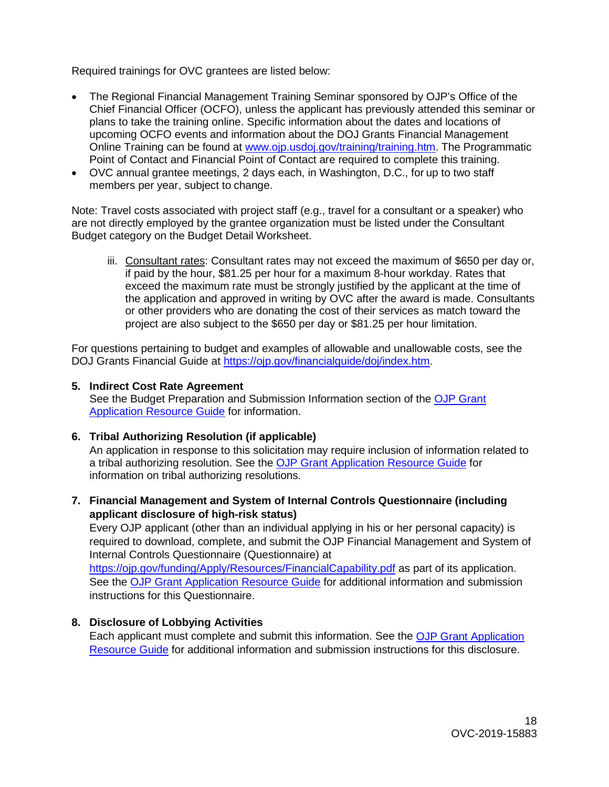Required trainings for OVC grantees are listed below:

- The Regional Financial Management Training Seminar sponsored by OJP's Office of the Chief Financial Officer (OCFO), unless the applicant has previously attended this seminar or plans to take the training online. Specific information about the dates and locations of upcoming OCFO events and information about the DOJ Grants Financial Management Online Training can be found at [www.ojp.usdoj.gov/training/training.htm.](http://www.ojp.usdoj.gov/training/training.htm) The Programmatic Point of Contact and Financial Point of Contact are required to complete this training.
- OVC annual grantee meetings, 2 days each, in Washington, D.C., for up to two staff members per year, subject to change.

Note: Travel costs associated with project staff (e.g., travel for a consultant or a speaker) who are not directly employed by the grantee organization must be listed under the Consultant Budget category on the Budget Detail Worksheet.

iii. Consultant rates: Consultant rates may not exceed the maximum of \$650 per day or, if paid by the hour, \$81.25 per hour for a maximum 8-hour workday. Rates that exceed the maximum rate must be strongly justified by the applicant at the time of the application and approved in writing by OVC after the award is made. Consultants or other providers who are donating the cost of their services as match toward the project are also subject to the \$650 per day or \$81.25 per hour limitation.

For questions pertaining to budget and examples of allowable and unallowable costs, see the DOJ Grants Financial Guide at [https://ojp.gov/financialguide/doj/index.htm.](https://ojp.gov/financialguide/doj/index.htm)

#### **5. Indirect Cost Rate Agreement**

See the Budget Preparation and Submission Information section of the [OJP Grant](https://www.ojp.gov/funding/Apply/Resources/Grant-App-Resource-Guide.htm)  [Application Resource Guide](https://www.ojp.gov/funding/Apply/Resources/Grant-App-Resource-Guide.htm) for information.

#### **6. Tribal Authorizing Resolution (if applicable)**

An application in response to this solicitation may require inclusion of information related to a tribal authorizing resolution. See the [OJP Grant Application Resource Guide](https://www.ojp.gov/funding/Apply/Resources/Grant-App-Resource-Guide.htm) for information on tribal authorizing resolutions.

**7. Financial Management and System of Internal Controls Questionnaire (including applicant disclosure of high-risk status)**

Every OJP applicant (other than an individual applying in his or her personal capacity) is required to download, complete, and submit the OJP Financial Management and System of Internal Controls Questionnaire (Questionnaire) at

<https://ojp.gov/funding/Apply/Resources/FinancialCapability.pdf> as part of its application. See the [OJP Grant Application Resource Guide](https://www.ojp.gov/funding/Apply/Resources/Grant-App-Resource-Guide.htm) for additional information and submission instructions for this Questionnaire.

#### **8. Disclosure of Lobbying Activities**

Each applicant must complete and submit this information. See the [OJP Grant Application](https://www.ojp.gov/funding/Apply/Resources/Grant-App-Resource-Guide.htm)  [Resource Guide](https://www.ojp.gov/funding/Apply/Resources/Grant-App-Resource-Guide.htm) for additional information and submission instructions for this disclosure.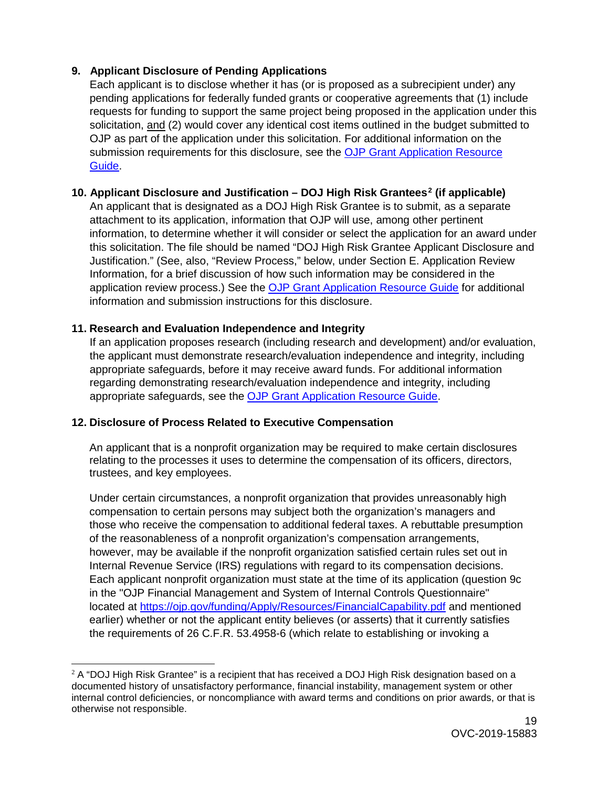## **9. Applicant Disclosure of Pending Applications**

Each applicant is to disclose whether it has (or is proposed as a subrecipient under) any pending applications for federally funded grants or cooperative agreements that (1) include requests for funding to support the same project being proposed in the application under this solicitation, and (2) would cover any identical cost items outlined in the budget submitted to OJP as part of the application under this solicitation. For additional information on the submission requirements for this disclosure, see the [OJP Grant Application Resource](https://www.ojp.gov/funding/Apply/Resources/Grant-App-Resource-Guide.htm)  [Guide.](https://www.ojp.gov/funding/Apply/Resources/Grant-App-Resource-Guide.htm)

## **10. Applicant Disclosure and Justification – DOJ High Risk Grantees[2](#page-18-0) (if applicable)**

An applicant that is designated as a DOJ High Risk Grantee is to submit, as a separate attachment to its application, information that OJP will use, among other pertinent information, to determine whether it will consider or select the application for an award under this solicitation. The file should be named "DOJ High Risk Grantee Applicant Disclosure and Justification." (See, also, "Review Process," below, under Section E. Application Review Information, for a brief discussion of how such information may be considered in the application review process.) See the [OJP Grant Application Resource Guide](https://www.ojp.gov/funding/Apply/Resources/Grant-App-Resource-Guide.htm) for additional information and submission instructions for this disclosure.

## **11. Research and Evaluation Independence and Integrity**

If an application proposes research (including research and development) and/or evaluation, the applicant must demonstrate research/evaluation independence and integrity, including appropriate safeguards, before it may receive award funds. For additional information regarding demonstrating research/evaluation independence and integrity, including appropriate safeguards, see the [OJP Grant Application Resource Guide.](https://www.ojp.gov/funding/Apply/Resources/Grant-App-Resource-Guide.htm)

## **12. Disclosure of Process Related to Executive Compensation**

An applicant that is a nonprofit organization may be required to make certain disclosures relating to the processes it uses to determine the compensation of its officers, directors, trustees, and key employees.

Under certain circumstances, a nonprofit organization that provides unreasonably high compensation to certain persons may subject both the organization's managers and those who receive the compensation to additional federal taxes. A rebuttable presumption of the reasonableness of a nonprofit organization's compensation arrangements, however, may be available if the nonprofit organization satisfied certain rules set out in Internal Revenue Service (IRS) regulations with regard to its compensation decisions. Each applicant nonprofit organization must state at the time of its application (question 9c in the "OJP Financial Management and System of Internal Controls Questionnaire" located at<https://ojp.gov/funding/Apply/Resources/FinancialCapability.pdf> and mentioned earlier) whether or not the applicant entity believes (or asserts) that it currently satisfies the requirements of 26 C.F.R. 53.4958-6 (which relate to establishing or invoking a

<span id="page-18-0"></span> $\overline{a}$  $2$  A "DOJ High Risk Grantee" is a recipient that has received a DOJ High Risk designation based on a documented history of unsatisfactory performance, financial instability, management system or other internal control deficiencies, or noncompliance with award terms and conditions on prior awards, or that is otherwise not responsible.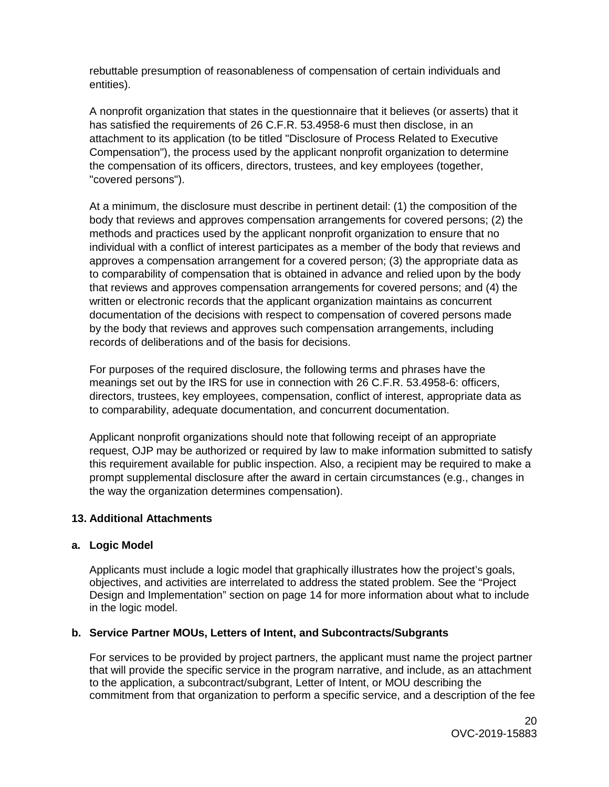rebuttable presumption of reasonableness of compensation of certain individuals and entities).

A nonprofit organization that states in the questionnaire that it believes (or asserts) that it has satisfied the requirements of 26 C.F.R. 53.4958-6 must then disclose, in an attachment to its application (to be titled "Disclosure of Process Related to Executive Compensation"), the process used by the applicant nonprofit organization to determine the compensation of its officers, directors, trustees, and key employees (together, "covered persons").

At a minimum, the disclosure must describe in pertinent detail: (1) the composition of the body that reviews and approves compensation arrangements for covered persons; (2) the methods and practices used by the applicant nonprofit organization to ensure that no individual with a conflict of interest participates as a member of the body that reviews and approves a compensation arrangement for a covered person; (3) the appropriate data as to comparability of compensation that is obtained in advance and relied upon by the body that reviews and approves compensation arrangements for covered persons; and (4) the written or electronic records that the applicant organization maintains as concurrent documentation of the decisions with respect to compensation of covered persons made by the body that reviews and approves such compensation arrangements, including records of deliberations and of the basis for decisions.

For purposes of the required disclosure, the following terms and phrases have the meanings set out by the IRS for use in connection with 26 C.F.R. 53.4958-6: officers, directors, trustees, key employees, compensation, conflict of interest, appropriate data as to comparability, adequate documentation, and concurrent documentation.

Applicant nonprofit organizations should note that following receipt of an appropriate request, OJP may be authorized or required by law to make information submitted to satisfy this requirement available for public inspection. Also, a recipient may be required to make a prompt supplemental disclosure after the award in certain circumstances (e.g., changes in the way the organization determines compensation).

#### **13. Additional Attachments**

## **a. Logic Model**

Applicants must include a logic model that graphically illustrates how the project's goals, objectives, and activities are interrelated to address the stated problem. See the "Project Design and Implementation" section on page 14 for more information about what to include in the logic model.

#### **b. Service Partner MOUs, Letters of Intent, and Subcontracts/Subgrants**

For services to be provided by project partners, the applicant must name the project partner that will provide the specific service in the program narrative, and include, as an attachment to the application, a subcontract/subgrant, Letter of Intent, or MOU describing the commitment from that organization to perform a specific service, and a description of the fee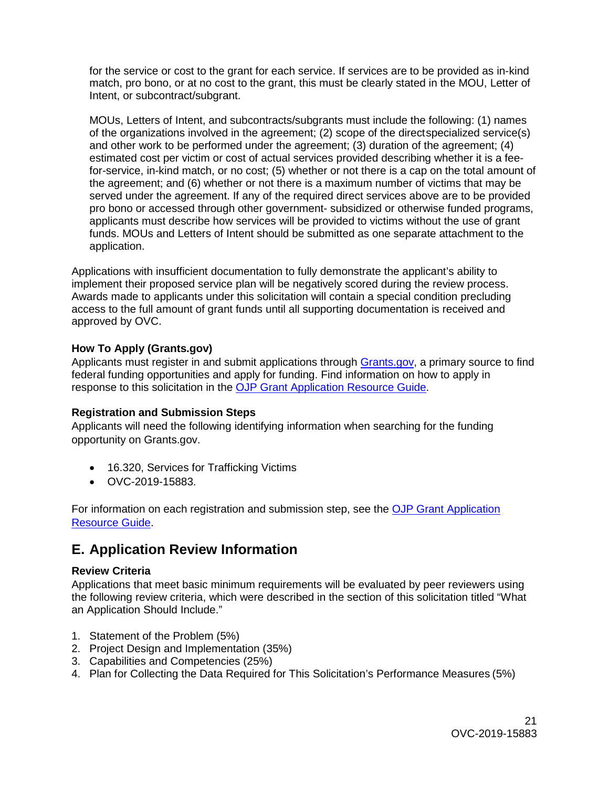for the service or cost to the grant for each service. If services are to be provided as in-kind match, pro bono, or at no cost to the grant, this must be clearly stated in the MOU, Letter of Intent, or subcontract/subgrant.

MOUs, Letters of Intent, and subcontracts/subgrants must include the following: (1) names of the organizations involved in the agreement; (2) scope of the directspecialized service(s) and other work to be performed under the agreement; (3) duration of the agreement; (4) estimated cost per victim or cost of actual services provided describing whether it is a feefor-service, in-kind match, or no cost; (5) whether or not there is a cap on the total amount of the agreement; and (6) whether or not there is a maximum number of victims that may be served under the agreement. If any of the required direct services above are to be provided pro bono or accessed through other government- subsidized or otherwise funded programs, applicants must describe how services will be provided to victims without the use of grant funds. MOUs and Letters of Intent should be submitted as one separate attachment to the application.

Applications with insufficient documentation to fully demonstrate the applicant's ability to implement their proposed service plan will be negatively scored during the review process. Awards made to applicants under this solicitation will contain a special condition precluding access to the full amount of grant funds until all supporting documentation is received and approved by OVC.

### <span id="page-20-0"></span>**How To Apply (Grants.gov)**

Applicants must register in and submit applications through [Grants.gov,](https://www.grants.gov/) a primary source to find federal funding opportunities and apply for funding. Find information on how to apply in response to this solicitation in the [OJP Grant Application Resource Guide.](https://www.ojp.gov/funding/Apply/Resources/Grant-App-Resource-Guide.htm)

#### **Registration and Submission Steps**

Applicants will need the following identifying information when searching for the funding opportunity on Grants.gov.

- 16.320, Services for Trafficking Victims
- OVC-2019-15883.

For information on each registration and submission step, see the [OJP Grant Application](https://www.ojp.gov/funding/Apply/Resources/Grant-App-Resource-Guide.htm)  [Resource Guide.](https://www.ojp.gov/funding/Apply/Resources/Grant-App-Resource-Guide.htm)

## <span id="page-20-1"></span>**E. Application Review Information**

#### <span id="page-20-2"></span>**Review Criteria**

Applications that meet basic minimum requirements will be evaluated by peer reviewers using the following review criteria, which were described in the section of this solicitation titled "What an Application Should Include."

- 1. Statement of the Problem (5%)
- 2. Project Design and Implementation (35%)
- 3. Capabilities and Competencies (25%)
- 4. Plan for Collecting the Data Required for This Solicitation's Performance Measures (5%)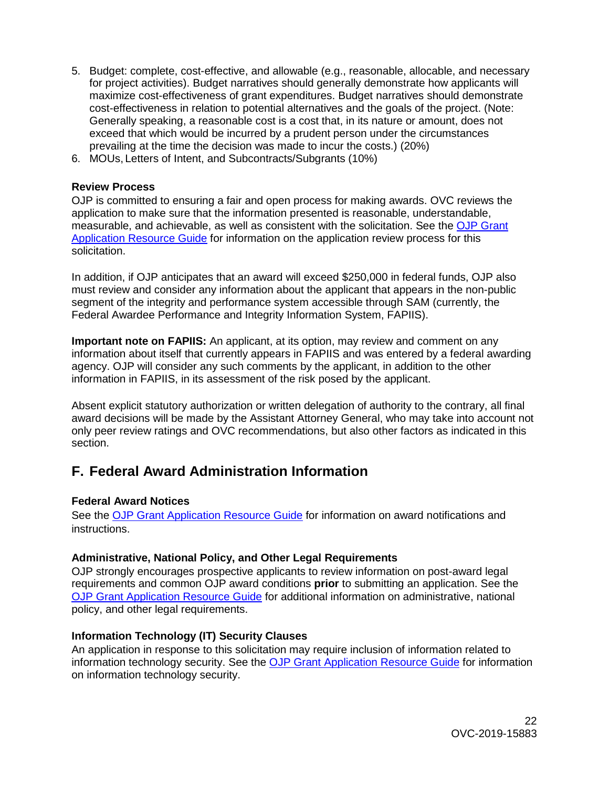- 5. Budget: complete, cost-effective, and allowable (e.g., reasonable, allocable, and necessary for project activities). Budget narratives should generally demonstrate how applicants will maximize cost-effectiveness of grant expenditures. Budget narratives should demonstrate cost-effectiveness in relation to potential alternatives and the goals of the project. (Note: Generally speaking, a reasonable cost is a cost that, in its nature or amount, does not exceed that which would be incurred by a prudent person under the circumstances prevailing at the time the decision was made to incur the costs.) (20%)
- 6. MOUs, Letters of Intent, and Subcontracts/Subgrants (10%)

#### <span id="page-21-0"></span>**Review Process**

OJP is committed to ensuring a fair and open process for making awards. OVC reviews the application to make sure that the information presented is reasonable, understandable, measurable, and achievable, as well as consistent with the solicitation. See the [OJP Grant](https://www.ojp.gov/funding/Apply/Resources/Grant-App-Resource-Guide.htm)  [Application Resource Guide](https://www.ojp.gov/funding/Apply/Resources/Grant-App-Resource-Guide.htm) for information on the application review process for this solicitation.

In addition, if OJP anticipates that an award will exceed \$250,000 in federal funds, OJP also must review and consider any information about the applicant that appears in the non-public segment of the integrity and performance system accessible through SAM (currently, the Federal Awardee Performance and Integrity Information System, FAPIIS).

**Important note on FAPIIS:** An applicant, at its option, may review and comment on any information about itself that currently appears in FAPIIS and was entered by a federal awarding agency. OJP will consider any such comments by the applicant, in addition to the other information in FAPIIS, in its assessment of the risk posed by the applicant.

Absent explicit statutory authorization or written delegation of authority to the contrary, all final award decisions will be made by the Assistant Attorney General, who may take into account not only peer review ratings and OVC recommendations, but also other factors as indicated in this section.

## <span id="page-21-1"></span>**F. Federal Award Administration Information**

#### <span id="page-21-2"></span>**Federal Award Notices**

See the [OJP Grant Application Resource Guide](https://www.ojp.gov/funding/Apply/Resources/Grant-App-Resource-Guide.htm) for information on award notifications and instructions.

### <span id="page-21-3"></span>**Administrative, National Policy, and Other Legal Requirements**

OJP strongly encourages prospective applicants to review information on post-award legal requirements and common OJP award conditions **prior** to submitting an application. See the [OJP Grant Application Resource Guide](https://www.ojp.gov/funding/Apply/Resources/Grant-App-Resource-Guide.htm) for additional information on administrative, national policy, and other legal requirements.

#### <span id="page-21-4"></span>**Information Technology (IT) Security Clauses**

An application in response to this solicitation may require inclusion of information related to information technology security. See the [OJP Grant Application Resource Guide](https://www.ojp.gov/funding/Apply/Resources/Grant-App-Resource-Guide.htm) for information on information technology security.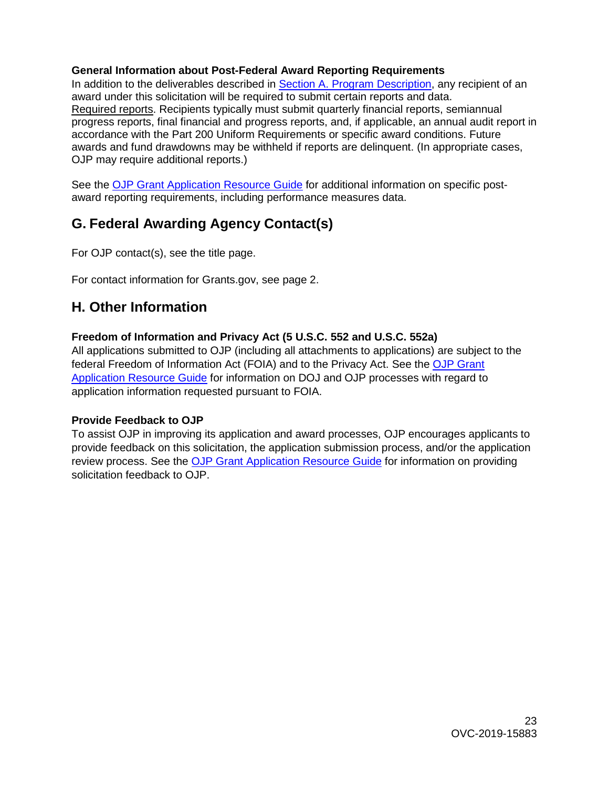#### <span id="page-22-0"></span>**General Information about Post-Federal Award Reporting Requirements**

In addition to the deliverables described in [Section A. Program Description,](#page-4-3) any recipient of an award under this solicitation will be required to submit certain reports and data. Required reports. Recipients typically must submit quarterly financial reports, semiannual progress reports, final financial and progress reports, and, if applicable, an annual audit report in accordance with the Part 200 Uniform Requirements or specific award conditions. Future awards and fund drawdowns may be withheld if reports are delinquent. (In appropriate cases, OJP may require additional reports.)

See the [OJP Grant Application Resource Guide](https://www.ojp.gov/funding/Apply/Resources/Grant-App-Resource-Guide.htm) for additional information on specific postaward reporting requirements, including performance measures data.

## **G. Federal Awarding Agency Contact(s)**

For OJP contact(s), see the title page.

For contact information for Grants.gov, see page 2.

## <span id="page-22-1"></span>**H. Other Information**

## <span id="page-22-2"></span>**Freedom of Information and Privacy Act (5 U.S.C. 552 and U.S.C. 552a)**

All applications submitted to OJP (including all attachments to applications) are subject to the federal Freedom of Information Act (FOIA) and to the Privacy Act. See the [OJP Grant](https://www.ojp.gov/funding/Apply/Resources/Grant-App-Resource-Guide.htm)  [Application Resource Guide](https://www.ojp.gov/funding/Apply/Resources/Grant-App-Resource-Guide.htm) for information on DOJ and OJP processes with regard to application information requested pursuant to FOIA.

## <span id="page-22-3"></span>**Provide Feedback to OJP**

To assist OJP in improving its application and award processes, OJP encourages applicants to provide feedback on this solicitation, the application submission process, and/or the application review process. See the [OJP Grant Application Resource Guide](https://www.ojp.gov/funding/Apply/Resources/Grant-App-Resource-Guide.htm) for information on providing solicitation feedback to OJP.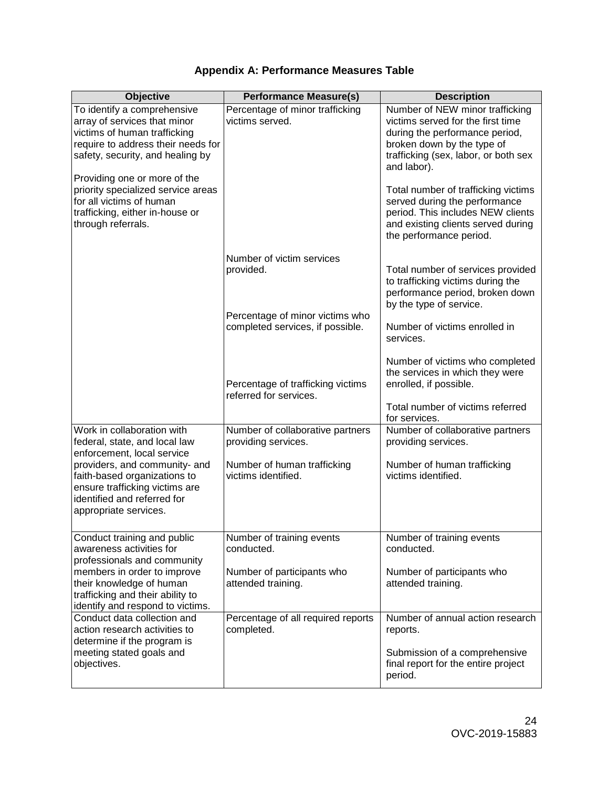## **Appendix A: Performance Measures Table**

<span id="page-23-0"></span>

| <b>Objective</b>                                                                                                                                                                                      | <b>Performance Measure(s)</b>                                             | <b>Description</b>                                                                                                                                                                          |
|-------------------------------------------------------------------------------------------------------------------------------------------------------------------------------------------------------|---------------------------------------------------------------------------|---------------------------------------------------------------------------------------------------------------------------------------------------------------------------------------------|
| To identify a comprehensive<br>array of services that minor<br>victims of human trafficking<br>require to address their needs for<br>safety, security, and healing by<br>Providing one or more of the | Percentage of minor trafficking<br>victims served.                        | Number of NEW minor trafficking<br>victims served for the first time<br>during the performance period,<br>broken down by the type of<br>trafficking (sex, labor, or both sex<br>and labor). |
| priority specialized service areas<br>for all victims of human<br>trafficking, either in-house or<br>through referrals.                                                                               |                                                                           | Total number of trafficking victims<br>served during the performance<br>period. This includes NEW clients<br>and existing clients served during<br>the performance period.                  |
|                                                                                                                                                                                                       | Number of victim services<br>provided.<br>Percentage of minor victims who | Total number of services provided<br>to trafficking victims during the<br>performance period, broken down<br>by the type of service.                                                        |
|                                                                                                                                                                                                       | completed services, if possible.                                          | Number of victims enrolled in<br>services.                                                                                                                                                  |
|                                                                                                                                                                                                       | Percentage of trafficking victims<br>referred for services.               | Number of victims who completed<br>the services in which they were<br>enrolled, if possible.                                                                                                |
|                                                                                                                                                                                                       |                                                                           | Total number of victims referred<br>for services.                                                                                                                                           |
| Work in collaboration with<br>federal, state, and local law<br>enforcement, local service                                                                                                             | Number of collaborative partners<br>providing services.                   | Number of collaborative partners<br>providing services.                                                                                                                                     |
| providers, and community- and<br>faith-based organizations to<br>ensure trafficking victims are<br>identified and referred for<br>appropriate services.                                               | Number of human trafficking<br>victims identified.                        | Number of human trafficking<br>victims identified.                                                                                                                                          |
| Conduct training and public<br>awareness activities for<br>professionals and community                                                                                                                | Number of training events<br>conducted.                                   | Number of training events<br>conducted.                                                                                                                                                     |
| members in order to improve<br>their knowledge of human<br>trafficking and their ability to<br>identify and respond to victims.                                                                       | Number of participants who<br>attended training.                          | Number of participants who<br>attended training.                                                                                                                                            |
| Conduct data collection and<br>action research activities to<br>determine if the program is                                                                                                           | Percentage of all required reports<br>completed.                          | Number of annual action research<br>reports.                                                                                                                                                |
| meeting stated goals and<br>objectives.                                                                                                                                                               |                                                                           | Submission of a comprehensive<br>final report for the entire project<br>period.                                                                                                             |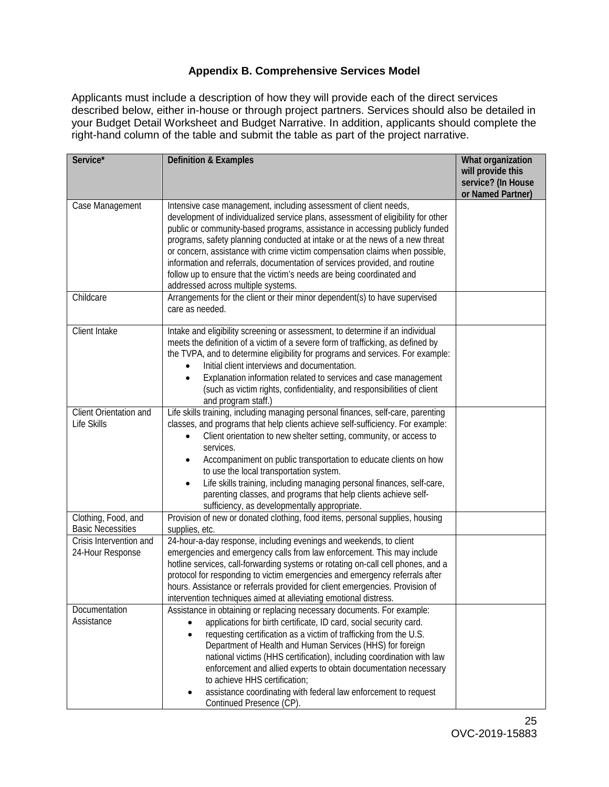## **Appendix B. Comprehensive Services Model**

<span id="page-24-0"></span>Applicants must include a description of how they will provide each of the direct services described below, either in-house or through project partners. Services should also be detailed in your Budget Detail Worksheet and Budget Narrative. In addition, applicants should complete the right-hand column of the table and submit the table as part of the project narrative.

| Service*                                        | <b>Definition &amp; Examples</b>                                                                                                                                                                                                                                                                                                                                                                                                                                                                                                                                                                | What organization<br>will provide this<br>service? (In House |
|-------------------------------------------------|-------------------------------------------------------------------------------------------------------------------------------------------------------------------------------------------------------------------------------------------------------------------------------------------------------------------------------------------------------------------------------------------------------------------------------------------------------------------------------------------------------------------------------------------------------------------------------------------------|--------------------------------------------------------------|
|                                                 |                                                                                                                                                                                                                                                                                                                                                                                                                                                                                                                                                                                                 | or Named Partner)                                            |
| Case Management                                 | Intensive case management, including assessment of client needs,<br>development of individualized service plans, assessment of eligibility for other<br>public or community-based programs, assistance in accessing publicly funded<br>programs, safety planning conducted at intake or at the news of a new threat<br>or concern, assistance with crime victim compensation claims when possible,<br>information and referrals, documentation of services provided, and routine<br>follow up to ensure that the victim's needs are being coordinated and<br>addressed across multiple systems. |                                                              |
| Childcare                                       | Arrangements for the client or their minor dependent(s) to have supervised<br>care as needed.                                                                                                                                                                                                                                                                                                                                                                                                                                                                                                   |                                                              |
| Client Intake                                   | Intake and eligibility screening or assessment, to determine if an individual<br>meets the definition of a victim of a severe form of trafficking, as defined by<br>the TVPA, and to determine eligibility for programs and services. For example:<br>Initial client interviews and documentation.<br>Explanation information related to services and case management<br>(such as victim rights, confidentiality, and responsibilities of client<br>and program staff.)                                                                                                                         |                                                              |
| Client Orientation and<br>Life Skills           | Life skills training, including managing personal finances, self-care, parenting<br>classes, and programs that help clients achieve self-sufficiency. For example:<br>Client orientation to new shelter setting, community, or access to<br>services.<br>Accompaniment on public transportation to educate clients on how<br>to use the local transportation system.<br>Life skills training, including managing personal finances, self-care,<br>$\bullet$<br>parenting classes, and programs that help clients achieve self-<br>sufficiency, as developmentally appropriate.                  |                                                              |
| Clothing, Food, and<br><b>Basic Necessities</b> | Provision of new or donated clothing, food items, personal supplies, housing<br>supplies, etc.                                                                                                                                                                                                                                                                                                                                                                                                                                                                                                  |                                                              |
| Crisis Intervention and<br>24-Hour Response     | 24-hour-a-day response, including evenings and weekends, to client<br>emergencies and emergency calls from law enforcement. This may include<br>hotline services, call-forwarding systems or rotating on-call cell phones, and a<br>protocol for responding to victim emergencies and emergency referrals after<br>hours. Assistance or referrals provided for client emergencies. Provision of<br>intervention techniques aimed at alleviating emotional distress.                                                                                                                             |                                                              |
| Documentation<br>Assistance                     | Assistance in obtaining or replacing necessary documents. For example:<br>applications for birth certificate, ID card, social security card.<br>requesting certification as a victim of trafficking from the U.S.<br>$\bullet$<br>Department of Health and Human Services (HHS) for foreign<br>national victims (HHS certification), including coordination with law<br>enforcement and allied experts to obtain documentation necessary<br>to achieve HHS certification;<br>assistance coordinating with federal law enforcement to request<br>٠<br>Continued Presence (CP).                   |                                                              |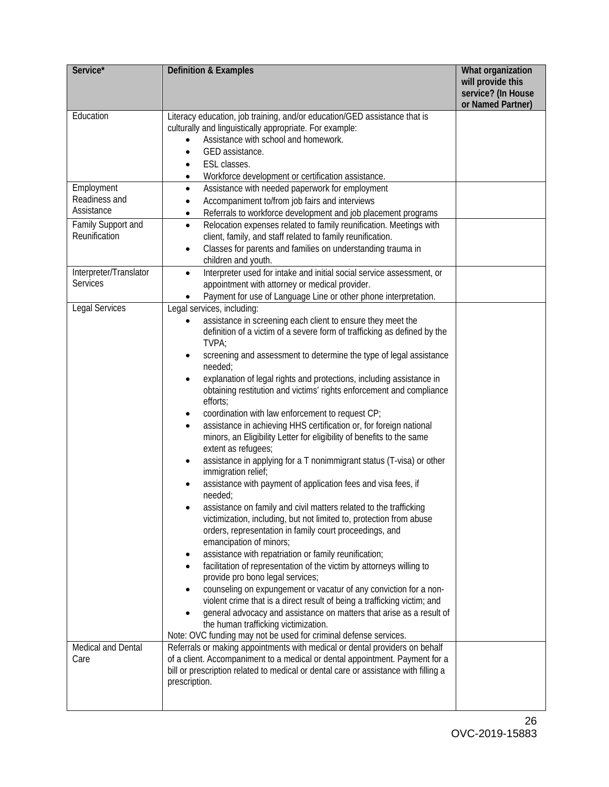| Service*                                                        | <b>Definition &amp; Examples</b>                                                                                                                                                                                                                                                                                                                                                                                                                                                                                                                                                                                                                                                                                                                                                                                                                                                                                                                                                                                                                                                                                                                                                                                                                                                                                                                                                                                                                                                                                                                                             | What organization<br>will provide this<br>service? (In House<br>or Named Partner) |
|-----------------------------------------------------------------|------------------------------------------------------------------------------------------------------------------------------------------------------------------------------------------------------------------------------------------------------------------------------------------------------------------------------------------------------------------------------------------------------------------------------------------------------------------------------------------------------------------------------------------------------------------------------------------------------------------------------------------------------------------------------------------------------------------------------------------------------------------------------------------------------------------------------------------------------------------------------------------------------------------------------------------------------------------------------------------------------------------------------------------------------------------------------------------------------------------------------------------------------------------------------------------------------------------------------------------------------------------------------------------------------------------------------------------------------------------------------------------------------------------------------------------------------------------------------------------------------------------------------------------------------------------------------|-----------------------------------------------------------------------------------|
| Education                                                       | Literacy education, job training, and/or education/GED assistance that is<br>culturally and linguistically appropriate. For example:<br>Assistance with school and homework.<br>GED assistance.<br>ESL classes.<br>Workforce development or certification assistance.                                                                                                                                                                                                                                                                                                                                                                                                                                                                                                                                                                                                                                                                                                                                                                                                                                                                                                                                                                                                                                                                                                                                                                                                                                                                                                        |                                                                                   |
| Employment<br>Readiness and<br>Assistance<br>Family Support and | Assistance with needed paperwork for employment<br>$\bullet$<br>Accompaniment to/from job fairs and interviews<br>Referrals to workforce development and job placement programs<br>$\bullet$<br>Relocation expenses related to family reunification. Meetings with<br>$\bullet$                                                                                                                                                                                                                                                                                                                                                                                                                                                                                                                                                                                                                                                                                                                                                                                                                                                                                                                                                                                                                                                                                                                                                                                                                                                                                              |                                                                                   |
| Reunification                                                   | client, family, and staff related to family reunification.<br>Classes for parents and families on understanding trauma in<br>$\bullet$<br>children and youth.                                                                                                                                                                                                                                                                                                                                                                                                                                                                                                                                                                                                                                                                                                                                                                                                                                                                                                                                                                                                                                                                                                                                                                                                                                                                                                                                                                                                                |                                                                                   |
| Interpreter/Translator<br><b>Services</b>                       | Interpreter used for intake and initial social service assessment, or<br>$\bullet$<br>appointment with attorney or medical provider.<br>Payment for use of Language Line or other phone interpretation.                                                                                                                                                                                                                                                                                                                                                                                                                                                                                                                                                                                                                                                                                                                                                                                                                                                                                                                                                                                                                                                                                                                                                                                                                                                                                                                                                                      |                                                                                   |
| Legal Services                                                  | Legal services, including:<br>assistance in screening each client to ensure they meet the<br>definition of a victim of a severe form of trafficking as defined by the<br>TVPA;<br>screening and assessment to determine the type of legal assistance<br>needed;<br>explanation of legal rights and protections, including assistance in<br>obtaining restitution and victims' rights enforcement and compliance<br>efforts;<br>coordination with law enforcement to request CP;<br>assistance in achieving HHS certification or, for foreign national<br>minors, an Eligibility Letter for eligibility of benefits to the same<br>extent as refugees;<br>assistance in applying for a T nonimmigrant status (T-visa) or other<br>immigration relief;<br>assistance with payment of application fees and visa fees, if<br>needed;<br>assistance on family and civil matters related to the trafficking<br>victimization, including, but not limited to, protection from abuse<br>orders, representation in family court proceedings, and<br>emancipation of minors;<br>assistance with repatriation or family reunification;<br>facilitation of representation of the victim by attorneys willing to<br>provide pro bono legal services;<br>counseling on expungement or vacatur of any conviction for a non-<br>violent crime that is a direct result of being a trafficking victim; and<br>general advocacy and assistance on matters that arise as a result of<br>the human trafficking victimization.<br>Note: OVC funding may not be used for criminal defense services. |                                                                                   |
| Medical and Dental<br>Care                                      | Referrals or making appointments with medical or dental providers on behalf<br>of a client. Accompaniment to a medical or dental appointment. Payment for a<br>bill or prescription related to medical or dental care or assistance with filling a<br>prescription.                                                                                                                                                                                                                                                                                                                                                                                                                                                                                                                                                                                                                                                                                                                                                                                                                                                                                                                                                                                                                                                                                                                                                                                                                                                                                                          |                                                                                   |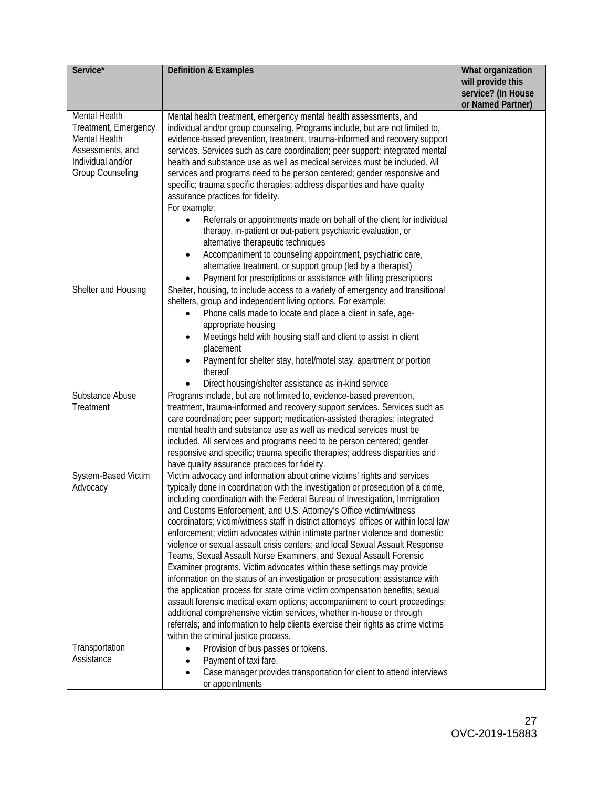| Service*                                                                                                                   | <b>Definition &amp; Examples</b>                                                                                                                                                                                                                                                                                                                                                                                                                                                                                                                                                                                                                                                                                                                                                                                                                                                                                                                                                                                                                                                                                                                                               | What organization<br>will provide this<br>service? (In House<br>or Named Partner) |
|----------------------------------------------------------------------------------------------------------------------------|--------------------------------------------------------------------------------------------------------------------------------------------------------------------------------------------------------------------------------------------------------------------------------------------------------------------------------------------------------------------------------------------------------------------------------------------------------------------------------------------------------------------------------------------------------------------------------------------------------------------------------------------------------------------------------------------------------------------------------------------------------------------------------------------------------------------------------------------------------------------------------------------------------------------------------------------------------------------------------------------------------------------------------------------------------------------------------------------------------------------------------------------------------------------------------|-----------------------------------------------------------------------------------|
| Mental Health<br>Treatment, Emergency<br>Mental Health<br>Assessments, and<br>Individual and/or<br><b>Group Counseling</b> | Mental health treatment, emergency mental health assessments, and<br>individual and/or group counseling. Programs include, but are not limited to,<br>evidence-based prevention, treatment, trauma-informed and recovery support<br>services. Services such as care coordination; peer support; integrated mental<br>health and substance use as well as medical services must be included. All<br>services and programs need to be person centered; gender responsive and<br>specific; trauma specific therapies; address disparities and have quality<br>assurance practices for fidelity.<br>For example:<br>Referrals or appointments made on behalf of the client for individual<br>therapy, in-patient or out-patient psychiatric evaluation, or<br>alternative therapeutic techniques<br>Accompaniment to counseling appointment, psychiatric care,<br>alternative treatment, or support group (led by a therapist)<br>Payment for prescriptions or assistance with filling prescriptions                                                                                                                                                                               |                                                                                   |
| Shelter and Housing                                                                                                        | Shelter, housing, to include access to a variety of emergency and transitional<br>shelters, group and independent living options. For example:<br>Phone calls made to locate and place a client in safe, age-<br>appropriate housing<br>Meetings held with housing staff and client to assist in client<br>placement<br>Payment for shelter stay, hotel/motel stay, apartment or portion<br>thereof<br>Direct housing/shelter assistance as in-kind service                                                                                                                                                                                                                                                                                                                                                                                                                                                                                                                                                                                                                                                                                                                    |                                                                                   |
| Substance Abuse<br>Treatment                                                                                               | Programs include, but are not limited to, evidence-based prevention,<br>treatment, trauma-informed and recovery support services. Services such as<br>care coordination; peer support; medication-assisted therapies; integrated<br>mental health and substance use as well as medical services must be<br>included. All services and programs need to be person centered; gender<br>responsive and specific; trauma specific therapies; address disparities and<br>have quality assurance practices for fidelity.                                                                                                                                                                                                                                                                                                                                                                                                                                                                                                                                                                                                                                                             |                                                                                   |
| System-Based Victim<br>Advocacy                                                                                            | Victim advocacy and information about crime victims' rights and services<br>typically done in coordination with the investigation or prosecution of a crime,<br>including coordination with the Federal Bureau of Investigation, Immigration<br>and Customs Enforcement, and U.S. Attorney's Office victim/witness<br>coordinators; victim/witness staff in district attorneys' offices or within local law<br>enforcement; victim advocates within intimate partner violence and domestic<br>violence or sexual assault crisis centers; and local Sexual Assault Response<br>Teams, Sexual Assault Nurse Examiners, and Sexual Assault Forensic<br>Examiner programs. Victim advocates within these settings may provide<br>information on the status of an investigation or prosecution; assistance with<br>the application process for state crime victim compensation benefits; sexual<br>assault forensic medical exam options; accompaniment to court proceedings;<br>additional comprehensive victim services, whether in-house or through<br>referrals; and information to help clients exercise their rights as crime victims<br>within the criminal justice process. |                                                                                   |
| Transportation<br>Assistance                                                                                               | Provision of bus passes or tokens.<br>Payment of taxi fare.<br>Case manager provides transportation for client to attend interviews<br>or appointments                                                                                                                                                                                                                                                                                                                                                                                                                                                                                                                                                                                                                                                                                                                                                                                                                                                                                                                                                                                                                         |                                                                                   |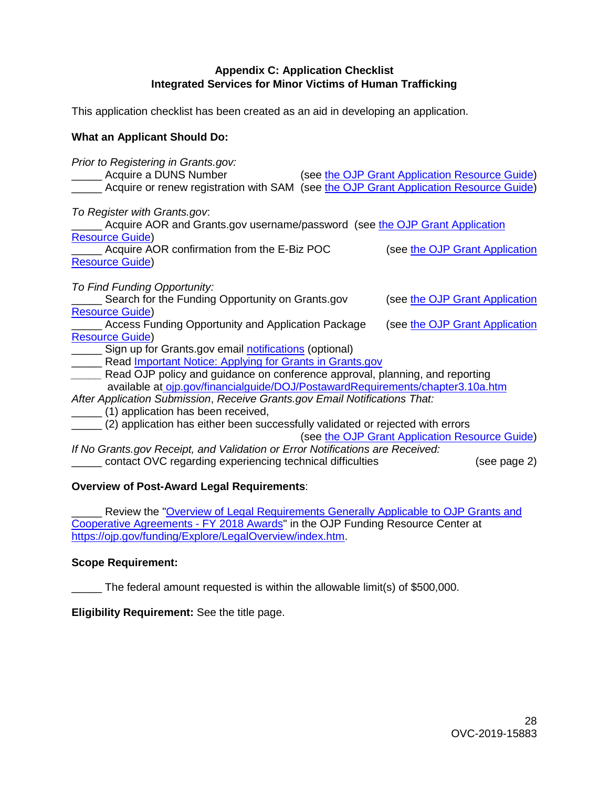#### **Appendix C: Application Checklist Integrated Services for Minor Victims of Human Trafficking**

<span id="page-27-0"></span>This application checklist has been created as an aid in developing an application.

#### **What an Applicant Should Do:**

*Prior to Registering in Grants.gov:* (see [the OJP Grant Application Resource Guide\)](https://ojp.gov/funding/Apply/Resources/Grant-App-Resource-Guide.htm#submissionSteps) Acquire or renew registration with SAM (see [the OJP Grant Application Resource Guide\)](https://ojp.gov/funding/Apply/Resources/Grant-App-Resource-Guide.htm#submissionSteps) *To Register with Grants.gov*: Acquire AOR and Grants.gov username/password (see [the OJP Grant Application](https://ojp.gov/funding/Apply/Resources/Grant-App-Resource-Guide.htm#submissionSteps) [Resource Guide\)](https://ojp.gov/funding/Apply/Resources/Grant-App-Resource-Guide.htm#submissionSteps) Acquire AOR confirmation from the E-Biz POC (see the OJP Grant Application [Resource Guide\)](https://ojp.gov/funding/Apply/Resources/Grant-App-Resource-Guide.htm#submissionSteps) *To Find Funding Opportunity:* Search for the Funding Opportunity on Grants.gov (see [the OJP Grant Application](https://ojp.gov/funding/Apply/Resources/Grant-App-Resource-Guide.htm#submissionSteps) [Resource Guide\)](https://ojp.gov/funding/Apply/Resources/Grant-App-Resource-Guide.htm#submissionSteps) Access Funding Opportunity and Application Package (see [the OJP Grant Application](https://ojp.gov/funding/Apply/Resources/Grant-App-Resource-Guide.htm#submissionSteps) [Resource Guide\)](https://ojp.gov/funding/Apply/Resources/Grant-App-Resource-Guide.htm#submissionSteps) Sign up for Grants.gov email [notifications](https://www.grants.gov/web/grants/manage-subscriptions.html) (optional) Lacktriangleright Read [Important Notice: Applying for Grants in Grants.gov](https://ojp.gov/funding/Apply/Grants-govInfo.htm) Read OJP policy and guidance on conference approval, planning, and reporting available at [ojp.gov/financialguide/DOJ/PostawardRequirements/chapter3.10a.htm](https://ojp.gov/financialguide/DOJ/PostawardRequirements/chapter3.10a.htm)  *After Application Submission*, *Receive Grants.gov Email Notifications That:* \_\_\_\_\_ (1) application has been received, \_\_\_\_\_ (2) application has either been successfully validated or rejected with errors (see [the OJP Grant Application Resource Guide\)](https://ojp.gov/funding/Apply/Resources/Grant-App-Resource-Guide.htm#submissionSteps) *If No Grants.gov Receipt, and Validation or Error Notifications are Received:* \_\_\_\_\_ contact OVC regarding experiencing technical difficulties (see page 2)

#### **Overview of Post-Award Legal Requirements**:

Review the "Overview of Legal Requirements Generally Applicable to OJP Grants and [Cooperative Agreements - FY 2018 Awards"](https://ojp.gov/funding/Explore/LegalOverview/index.htm) in the OJP Funding Resource Center at [https://ojp.gov/funding/Explore/LegalOverview/index.htm.](https://ojp.gov/funding/Explore/LegalOverview/index.htm)

#### **Scope Requirement:**

\_\_\_\_\_ The federal amount requested is within the allowable limit(s) of \$500,000.

**Eligibility Requirement:** See the title page.